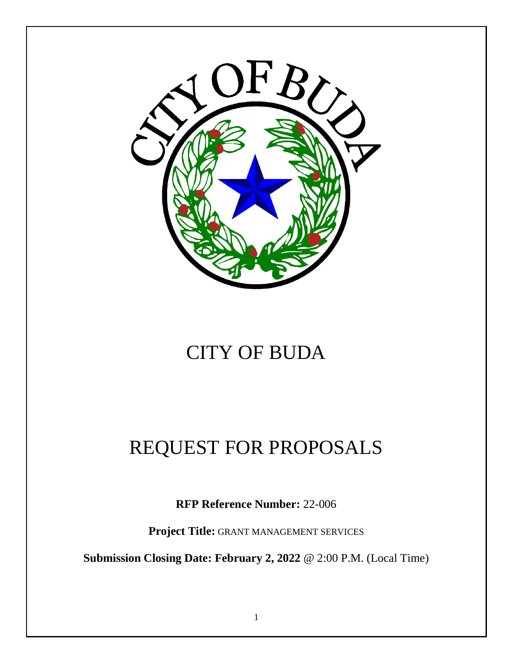

# CITY OF BUDA

# REQUEST FOR PROPOSALS

**RFP Reference Number:** 22-006

**Project Title:** GRANT MANAGEMENT SERVICES

**Submission Closing Date: February 2, 2022** @ 2:00 P.M. (Local Time)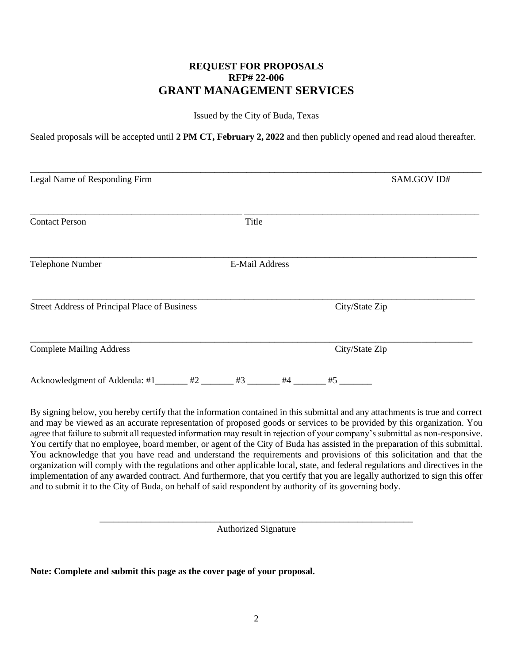## **REQUEST FOR PROPOSALS RFP# 22-006 GRANT MANAGEMENT SERVICES**

Issued by the City of Buda, Texas

Sealed proposals will be accepted until **2 PM CT, February 2, 2022** and then publicly opened and read aloud thereafter.

| Legal Name of Responding Firm                 |                       | SAM.GOV ID#    |
|-----------------------------------------------|-----------------------|----------------|
| <b>Contact Person</b>                         | Title                 |                |
| Telephone Number                              | <b>E-Mail Address</b> |                |
| Street Address of Principal Place of Business |                       | City/State Zip |
| <b>Complete Mailing Address</b>               |                       | City/State Zip |
| Acknowledgment of Addenda: #1                 | #4 $\overline{ }$     | #5 $-$         |

By signing below, you hereby certify that the information contained in this submittal and any attachments is true and correct and may be viewed as an accurate representation of proposed goods or services to be provided by this organization. You agree that failure to submit all requested information may result in rejection of your company's submittal as non-responsive. You certify that no employee, board member, or agent of the City of Buda has assisted in the preparation of this submittal. You acknowledge that you have read and understand the requirements and provisions of this solicitation and that the organization will comply with the regulations and other applicable local, state, and federal regulations and directives in the implementation of any awarded contract. And furthermore, that you certify that you are legally authorized to sign this offer and to submit it to the City of Buda, on behalf of said respondent by authority of its governing body.

> \_\_\_\_\_\_\_\_\_\_\_\_\_\_\_\_\_\_\_\_\_\_\_\_\_\_\_\_\_\_\_\_\_\_\_\_\_\_\_\_\_\_\_\_\_\_\_\_\_\_\_\_\_\_\_\_\_\_\_\_\_\_\_\_\_\_\_\_ Authorized Signature

**Note: Complete and submit this page as the cover page of your proposal.**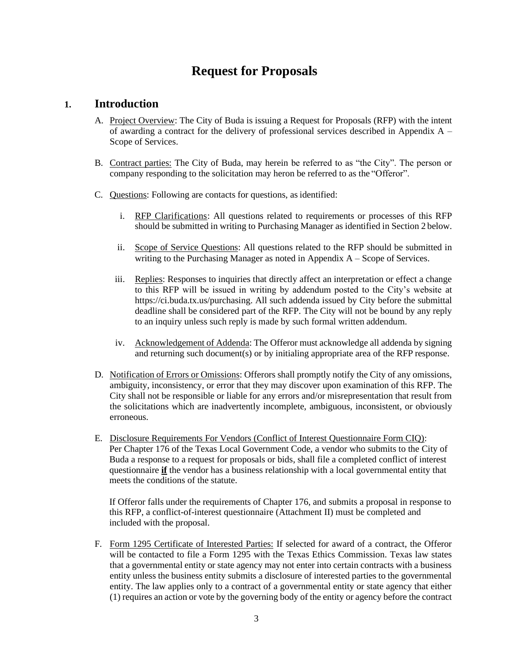## **Request for Proposals**

## **1. Introduction**

- A. Project Overview: The City of Buda is issuing a Request for Proposals (RFP) with the intent of awarding a contract for the delivery of professional services described in Appendix A – Scope of Services.
- B. Contract parties: The City of Buda, may herein be referred to as "the City". The person or company responding to the solicitation may heron be referred to as the "Offeror".
- C. Questions: Following are contacts for questions, as identified:
	- i. RFP Clarifications: All questions related to requirements or processes of this RFP should be submitted in writing to Purchasing Manager as identified in Section 2 below.
	- ii. Scope of Service Questions: All questions related to the RFP should be submitted in writing to the Purchasing Manager as noted in Appendix A – Scope of Services.
	- iii. Replies: Responses to inquiries that directly affect an interpretation or effect a change to this RFP will be issued in writing by addendum posted to the City's website at https://ci.buda.tx.us/purchasing. All such addenda issued by City before the submittal deadline shall be considered part of the RFP. The City will not be bound by any reply to an inquiry unless such reply is made by such formal written addendum.
	- iv. Acknowledgement of Addenda: The Offeror must acknowledge all addenda by signing and returning such document(s) or by initialing appropriate area of the RFP response.
- D. Notification of Errors or Omissions: Offerors shall promptly notify the City of any omissions, ambiguity, inconsistency, or error that they may discover upon examination of this RFP. The City shall not be responsible or liable for any errors and/or misrepresentation that result from the solicitations which are inadvertently incomplete, ambiguous, inconsistent, or obviously erroneous.
- E. Disclosure Requirements For Vendors (Conflict of Interest Questionnaire Form CIQ): Per Chapter 176 of the Texas Local Government Code, a vendor who submits to the City of Buda a response to a request for proposals or bids, shall file a completed conflict of interest questionnaire **if** the vendor has a business relationship with a local governmental entity that meets the conditions of the statute.

If Offeror falls under the requirements of Chapter 176, and submits a proposal in response to this RFP, a conflict-of-interest questionnaire (Attachment II) must be completed and included with the proposal.

F. Form 1295 Certificate of Interested Parties: If selected for award of a contract, the Offeror will be contacted to file a Form 1295 with the Texas Ethics Commission. Texas law states that a governmental entity or state agency may not enter into certain contracts with a business entity unless the business entity submits a disclosure of interested parties to the governmental entity. The law applies only to a contract of a governmental entity or state agency that either (1) requires an action or vote by the governing body of the entity or agency before the contract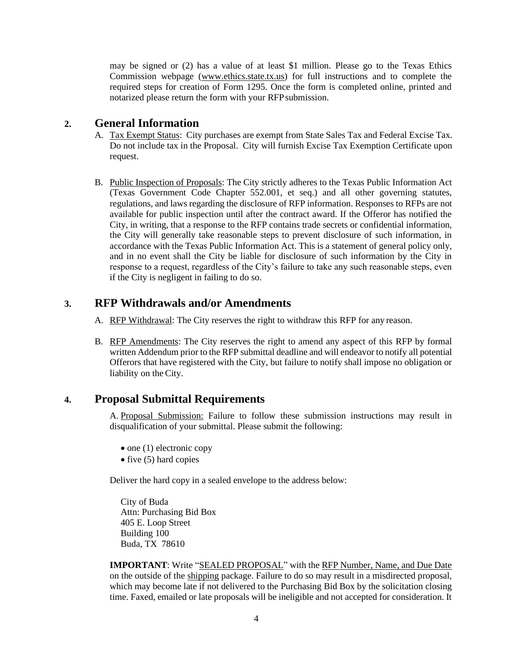may be signed or (2) has a value of at least \$1 million. Please go to the Texas Ethics Commission webpage [\(www.ethics.state.tx.us\)](http://www.ethics.state.tx.us/) for full instructions and to complete the required steps for creation of Form 1295. Once the form is completed online, printed and notarized please return the form with your RFPsubmission.

## **2. General Information**

- A. Tax Exempt Status: City purchases are exempt from State Sales Tax and Federal Excise Tax. Do not include tax in the Proposal. City will furnish Excise Tax Exemption Certificate upon request.
- B. Public Inspection of Proposals: The City strictly adheres to the Texas Public Information Act (Texas Government Code Chapter 552.001, et seq.) and all other governing statutes, regulations, and laws regarding the disclosure of RFP information. Responses to RFPs are not available for public inspection until after the contract award. If the Offeror has notified the City, in writing, that a response to the RFP contains trade secrets or confidential information, the City will generally take reasonable steps to prevent disclosure of such information, in accordance with the Texas Public Information Act. This is a statement of general policy only, and in no event shall the City be liable for disclosure of such information by the City in response to a request, regardless of the City's failure to take any such reasonable steps, even if the City is negligent in failing to do so.

## **3. RFP Withdrawals and/or Amendments**

- A. RFP Withdrawal: The City reserves the right to withdraw this RFP for any reason.
- B. RFP Amendments: The City reserves the right to amend any aspect of this RFP by formal written Addendum prior to the RFP submittal deadline and will endeavor to notify all potential Offerors that have registered with the City, but failure to notify shall impose no obligation or liability on the City.

## **4. Proposal Submittal Requirements**

A. Proposal Submission: Failure to follow these submission instructions may result in disqualification of your submittal. Please submit the following:

- one (1) electronic copy
- five (5) hard copies

Deliver the hard copy in a sealed envelope to the address below:

City of Buda Attn: Purchasing Bid Box 405 E. Loop Street Building 100 Buda, TX 78610

**IMPORTANT:** Write "SEALED PROPOSAL" with the RFP Number, Name, and Due Date on the outside of the shipping package. Failure to do so may result in a misdirected proposal, which may become late if not delivered to the Purchasing Bid Box by the solicitation closing time. Faxed, emailed or late proposals will be ineligible and not accepted for consideration. It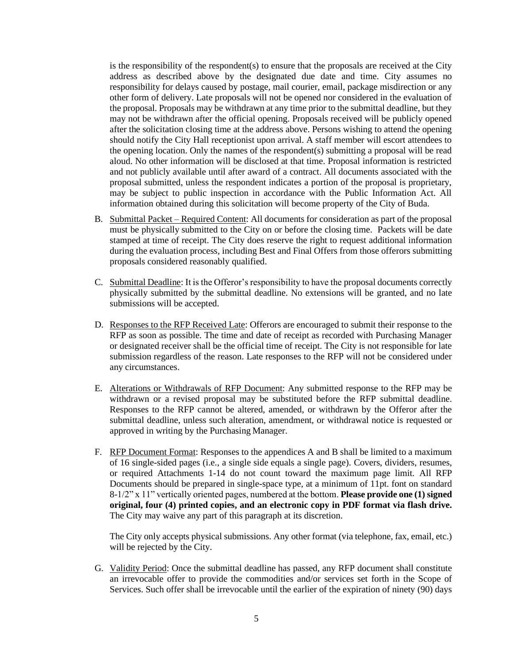is the responsibility of the respondent(s) to ensure that the proposals are received at the City address as described above by the designated due date and time. City assumes no responsibility for delays caused by postage, mail courier, email, package misdirection or any other form of delivery. Late proposals will not be opened nor considered in the evaluation of the proposal. Proposals may be withdrawn at any time prior to the submittal deadline, but they may not be withdrawn after the official opening. Proposals received will be publicly opened after the solicitation closing time at the address above. Persons wishing to attend the opening should notify the City Hall receptionist upon arrival. A staff member will escort attendees to the opening location. Only the names of the respondent(s) submitting a proposal will be read aloud. No other information will be disclosed at that time. Proposal information is restricted and not publicly available until after award of a contract. All documents associated with the proposal submitted, unless the respondent indicates a portion of the proposal is proprietary, may be subject to public inspection in accordance with the Public Information Act. All information obtained during this solicitation will become property of the City of Buda.

- B. Submittal Packet Required Content: All documents for consideration as part of the proposal must be physically submitted to the City on or before the closing time. Packets will be date stamped at time of receipt. The City does reserve the right to request additional information during the evaluation process, including Best and Final Offers from those offerors submitting proposals considered reasonably qualified.
- C. Submittal Deadline: It is the Offeror's responsibility to have the proposal documents correctly physically submitted by the submittal deadline. No extensions will be granted, and no late submissions will be accepted.
- D. Responses to the RFP Received Late: Offerors are encouraged to submit their response to the RFP as soon as possible. The time and date of receipt as recorded with Purchasing Manager or designated receiver shall be the official time of receipt. The City is not responsible for late submission regardless of the reason. Late responses to the RFP will not be considered under any circumstances.
- E. Alterations or Withdrawals of RFP Document: Any submitted response to the RFP may be withdrawn or a revised proposal may be substituted before the RFP submittal deadline. Responses to the RFP cannot be altered, amended, or withdrawn by the Offeror after the submittal deadline, unless such alteration, amendment, or withdrawal notice is requested or approved in writing by the Purchasing Manager.
- F. RFP Document Format: Responses to the appendices A and B shall be limited to a maximum of 16 single-sided pages (i.e., a single side equals a single page). Covers, dividers, resumes, or required Attachments 1-14 do not count toward the maximum page limit. All RFP Documents should be prepared in single-space type, at a minimum of 11pt. font on standard 8-1/2" x 11" vertically oriented pages, numbered at the bottom. **Please provide one (1) signed original, four (4) printed copies, and an electronic copy in PDF format via flash drive.**  The City may waive any part of this paragraph at its discretion.

The City only accepts physical submissions. Any other format (via telephone, fax, email, etc.) will be rejected by the City.

G. Validity Period: Once the submittal deadline has passed, any RFP document shall constitute an irrevocable offer to provide the commodities and/or services set forth in the Scope of Services. Such offer shall be irrevocable until the earlier of the expiration of ninety (90) days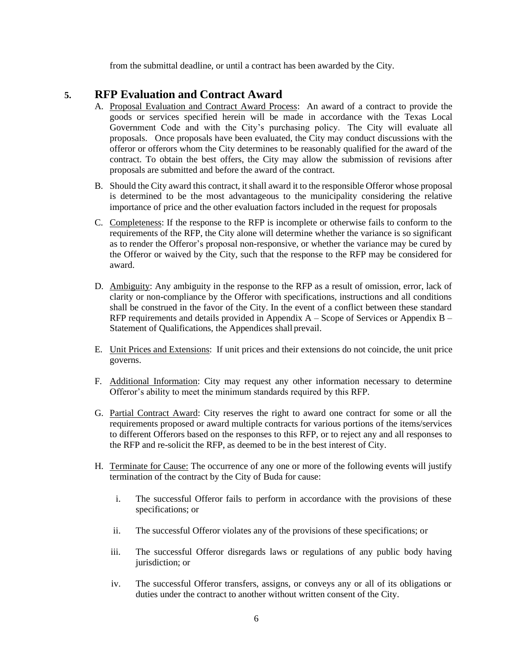from the submittal deadline, or until a contract has been awarded by the City.

## **5. RFP Evaluation and Contract Award**

- A. Proposal Evaluation and Contract Award Process: An award of a contract to provide the goods or services specified herein will be made in accordance with the Texas Local Government Code and with the City's purchasing policy. The City will evaluate all proposals. Once proposals have been evaluated, the City may conduct discussions with the offeror or offerors whom the City determines to be reasonably qualified for the award of the contract. To obtain the best offers, the City may allow the submission of revisions after proposals are submitted and before the award of the contract.
- B. Should the City award this contract, it shall award it to the responsible Offeror whose proposal is determined to be the most advantageous to the municipality considering the relative importance of price and the other evaluation factors included in the request for proposals
- C. Completeness: If the response to the RFP is incomplete or otherwise fails to conform to the requirements of the RFP, the City alone will determine whether the variance is so significant as to render the Offeror's proposal non-responsive, or whether the variance may be cured by the Offeror or waived by the City, such that the response to the RFP may be considered for award.
- D. Ambiguity: Any ambiguity in the response to the RFP as a result of omission, error, lack of clarity or non-compliance by the Offeror with specifications, instructions and all conditions shall be construed in the favor of the City. In the event of a conflict between these standard RFP requirements and details provided in Appendix A – Scope of Services or Appendix B – Statement of Qualifications, the Appendices shall prevail.
- E. Unit Prices and Extensions: If unit prices and their extensions do not coincide, the unit price governs.
- F. Additional Information: City may request any other information necessary to determine Offeror's ability to meet the minimum standards required by this RFP.
- G. Partial Contract Award: City reserves the right to award one contract for some or all the requirements proposed or award multiple contracts for various portions of the items/services to different Offerors based on the responses to this RFP, or to reject any and all responses to the RFP and re-solicit the RFP, as deemed to be in the best interest of City.
- H. Terminate for Cause: The occurrence of any one or more of the following events will justify termination of the contract by the City of Buda for cause:
	- i. The successful Offeror fails to perform in accordance with the provisions of these specifications; or
	- ii. The successful Offeror violates any of the provisions of these specifications; or
	- iii. The successful Offeror disregards laws or regulations of any public body having jurisdiction; or
	- iv. The successful Offeror transfers, assigns, or conveys any or all of its obligations or duties under the contract to another without written consent of the City.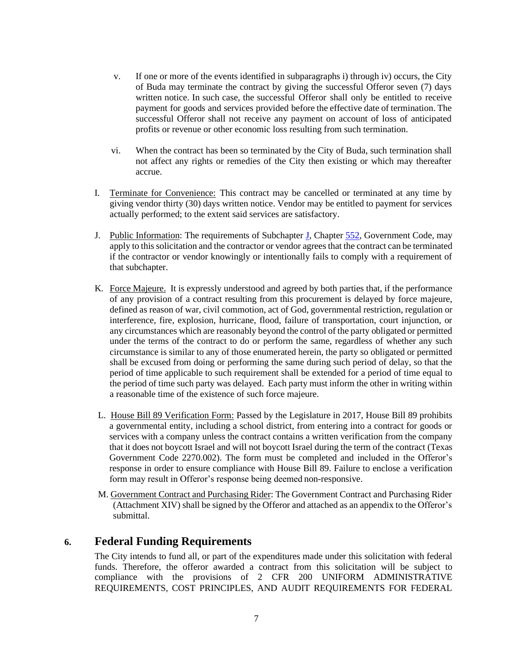- v. If one or more of the events identified in subparagraphs i) through iv) occurs, the City of Buda may terminate the contract by giving the successful Offeror seven (7) days written notice. In such case, the successful Offeror shall only be entitled to receive payment for goods and services provided before the effective date of termination. The successful Offeror shall not receive any payment on account of loss of anticipated profits or revenue or other economic loss resulting from such termination.
- vi. When the contract has been so terminated by the City of Buda, such termination shall not affect any rights or remedies of the City then existing or which may thereafter accrue.
- I. Terminate for Convenience: This contract may be cancelled or terminated at any time by giving vendor thirty (30) days written notice. Vendor may be entitled to payment for services actually performed; to the extent said services are satisfactory.
- J. Public Information: The requirements of Subchapter [J,](http://www.statutes.legis.state.tx.us/GetStatute.aspx?Code=GV&Value=552.371) Chapter [552,](http://www.statutes.legis.state.tx.us/GetStatute.aspx?Code=GV&Value=552) Government Code, may apply to this solicitation and the contractor or vendor agrees that the contract can be terminated if the contractor or vendor knowingly or intentionally fails to comply with a requirement of that subchapter.
- K. Force Majeure. It is expressly understood and agreed by both parties that, if the performance of any provision of a contract resulting from this procurement is delayed by force majeure, defined as reason of war, civil commotion, act of God, governmental restriction, regulation or interference, fire, explosion, hurricane, flood, failure of transportation, court injunction, or any circumstances which are reasonably beyond the control of the party obligated or permitted under the terms of the contract to do or perform the same, regardless of whether any such circumstance is similar to any of those enumerated herein, the party so obligated or permitted shall be excused from doing or performing the same during such period of delay, so that the period of time applicable to such requirement shall be extended for a period of time equal to the period of time such party was delayed. Each party must inform the other in writing within a reasonable time of the existence of such force majeure.
- L. House Bill 89 Verification Form: Passed by the Legislature in 2017, House Bill 89 prohibits a governmental entity, including a school district, from entering into a contract for goods or services with a company unless the contract contains a written verification from the company that it does not boycott Israel and will not boycott Israel during the term of the contract (Texas Government Code 2270.002). The form must be completed and included in the Offeror's response in order to ensure compliance with House Bill 89. Failure to enclose a verification form may result in Offeror's response being deemed non-responsive.
- M. Government Contract and Purchasing Rider: The Government Contract and Purchasing Rider (Attachment XIV) shall be signed by the Offeror and attached as an appendix to the Offeror's submittal.

## **6. Federal Funding Requirements**

The City intends to fund all, or part of the expenditures made under this solicitation with federal funds. Therefore, the offeror awarded a contract from this solicitation will be subject to compliance with the provisions of 2 CFR 200 UNIFORM ADMINISTRATIVE REQUIREMENTS, COST PRINCIPLES, AND AUDIT REQUIREMENTS FOR FEDERAL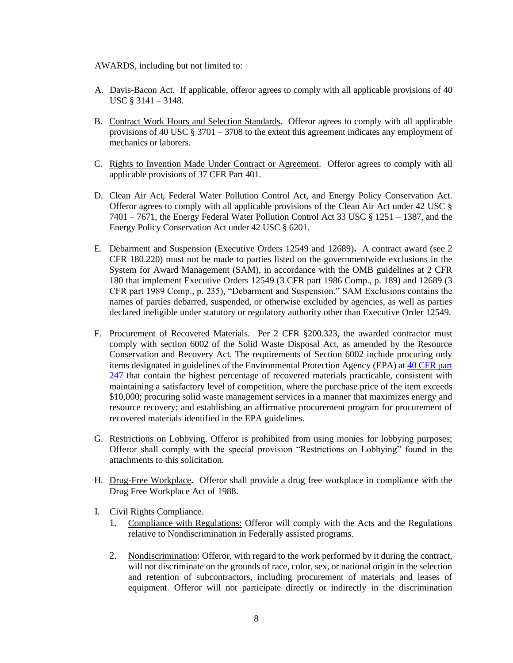AWARDS, including but not limited to:

- A. Davis-Bacon Act. If applicable, offeror agrees to comply with all applicable provisions of 40 USC § 3141 – 3148.
- B. Contract Work Hours and Selection Standards. Offeror agrees to comply with all applicable provisions of 40 USC  $\S 3701 - 3708$  to the extent this agreement indicates any employment of mechanics or laborers.
- C. Rights to Invention Made Under Contract or Agreement. Offeror agrees to comply with all applicable provisions of 37 CFR Part 401.
- D. Clean Air Act, Federal Water Pollution Control Act, and Energy Policy Conservation Act. Offeror agrees to comply with all applicable provisions of the Clean Air Act under 42 USC § 7401 – 7671, the Energy Federal Water Pollution Control Act 33 USC § 1251 – 1387, and the Energy Policy Conservation Act under 42 USC § 6201.
- E. Debarment and Suspension (Executive Orders 12549 and 12689)**.** A contract award (see 2 CFR 180.220) must not be made to parties listed on the governmentwide exclusions in the System for Award Management (SAM), in accordance with the OMB guidelines at 2 CFR 180 that implement Executive Orders 12549 (3 CFR part 1986 Comp., p. 189) and 12689 (3 CFR part 1989 Comp., p. 235), "Debarment and Suspension." SAM Exclusions contains the names of parties debarred, suspended, or otherwise excluded by agencies, as well as parties declared ineligible under statutory or regulatory authority other than Executive Order 12549.
- F. Procurement of Recovered Materials. Per 2 CFR §200.323, the awarded contractor must comply with section 6002 of the Solid Waste Disposal Act, as amended by the Resource Conservation and Recovery Act. The requirements of Section 6002 include procuring only items designated in guidelines of the Environmental Protection Agency (EPA) at [40 CFR part](https://www.ecfr.gov/current/title-40/part-247)  [247](https://www.ecfr.gov/current/title-40/part-247) that contain the highest percentage of recovered materials practicable, consistent with maintaining a satisfactory level of competition, where the purchase price of the item exceeds \$10,000; procuring solid waste management services in a manner that maximizes energy and resource recovery; and establishing an affirmative procurement program for procurement of recovered materials identified in the EPA guidelines.
- G. Restrictions on Lobbying. Offeror is prohibited from using monies for lobbying purposes; Offeror shall comply with the special provision "Restrictions on Lobbying" found in the attachments to this solicitation.
- H. Drug-Free Workplace**.** Offeror shall provide a drug free workplace in compliance with the Drug Free Workplace Act of 1988.
- I. Civil Rights Compliance.
	- 1. Compliance with Regulations: Offeror will comply with the Acts and the Regulations relative to Nondiscrimination in Federally assisted programs.
	- 2. Nondiscrimination: Offeror, with regard to the work performed by it during the contract, will not discriminate on the grounds of race, color, sex, or national origin in the selection and retention of subcontractors, including procurement of materials and leases of equipment. Offeror will not participate directly or indirectly in the discrimination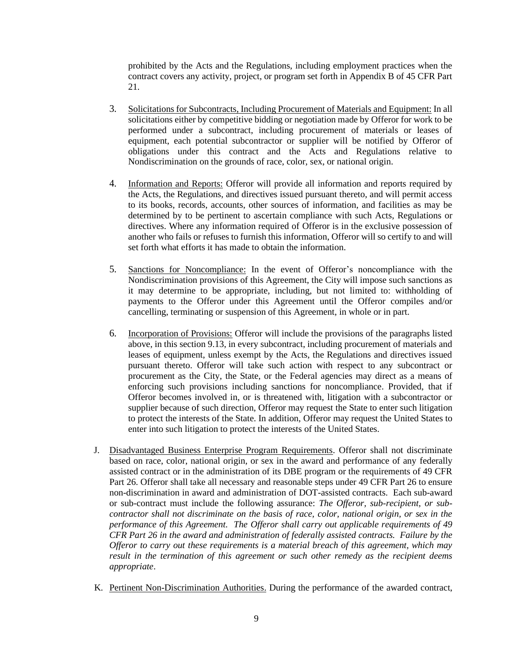prohibited by the Acts and the Regulations, including employment practices when the contract covers any activity, project, or program set forth in Appendix B of 45 CFR Part 21.

- 3. Solicitations for Subcontracts, Including Procurement of Materials and Equipment: In all solicitations either by competitive bidding or negotiation made by Offeror for work to be performed under a subcontract, including procurement of materials or leases of equipment, each potential subcontractor or supplier will be notified by Offeror of obligations under this contract and the Acts and Regulations relative to Nondiscrimination on the grounds of race, color, sex, or national origin.
- 4. Information and Reports: Offeror will provide all information and reports required by the Acts, the Regulations, and directives issued pursuant thereto, and will permit access to its books, records, accounts, other sources of information, and facilities as may be determined by to be pertinent to ascertain compliance with such Acts, Regulations or directives. Where any information required of Offeror is in the exclusive possession of another who fails or refuses to furnish this information, Offeror will so certify to and will set forth what efforts it has made to obtain the information.
- 5. Sanctions for Noncompliance: In the event of Offeror's noncompliance with the Nondiscrimination provisions of this Agreement, the City will impose such sanctions as it may determine to be appropriate, including, but not limited to: withholding of payments to the Offeror under this Agreement until the Offeror compiles and/or cancelling, terminating or suspension of this Agreement, in whole or in part.
- 6. Incorporation of Provisions: Offeror will include the provisions of the paragraphs listed above, in this section 9.13, in every subcontract, including procurement of materials and leases of equipment, unless exempt by the Acts, the Regulations and directives issued pursuant thereto. Offeror will take such action with respect to any subcontract or procurement as the City, the State, or the Federal agencies may direct as a means of enforcing such provisions including sanctions for noncompliance. Provided, that if Offeror becomes involved in, or is threatened with, litigation with a subcontractor or supplier because of such direction, Offeror may request the State to enter such litigation to protect the interests of the State. In addition, Offeror may request the United States to enter into such litigation to protect the interests of the United States.
- J. Disadvantaged Business Enterprise Program Requirements. Offeror shall not discriminate based on race, color, national origin, or sex in the award and performance of any federally assisted contract or in the administration of its DBE program or the requirements of 49 CFR Part 26. Offeror shall take all necessary and reasonable steps under 49 CFR Part 26 to ensure non-discrimination in award and administration of DOT-assisted contracts. Each sub-award or sub-contract must include the following assurance: *The Offeror, sub-recipient, or subcontractor shall not discriminate on the basis of race, color, national origin, or sex in the performance of this Agreement. The Offeror shall carry out applicable requirements of 49 CFR Part 26 in the award and administration of federally assisted contracts. Failure by the Offeror to carry out these requirements is a material breach of this agreement, which may result in the termination of this agreement or such other remedy as the recipient deems appropriate*.
- K. Pertinent Non-Discrimination Authorities. During the performance of the awarded contract,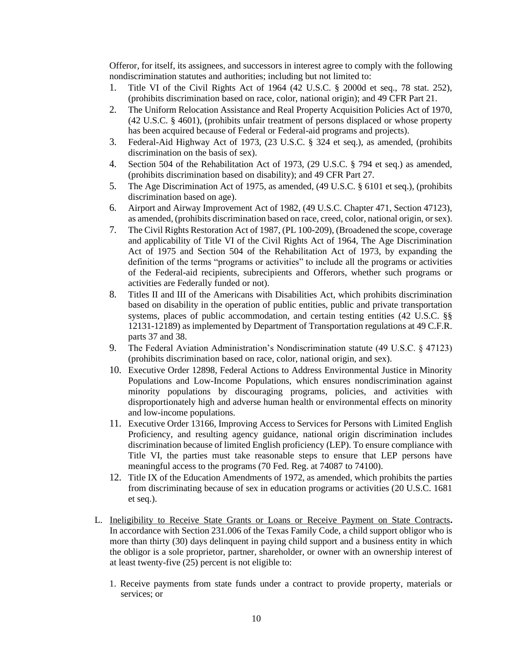Offeror, for itself, its assignees, and successors in interest agree to comply with the following nondiscrimination statutes and authorities; including but not limited to:

- 1. Title VI of the Civil Rights Act of 1964 (42 U.S.C. § 2000d et seq., 78 stat. 252), (prohibits discrimination based on race, color, national origin); and 49 CFR Part 21.
- 2. The Uniform Relocation Assistance and Real Property Acquisition Policies Act of 1970, (42 U.S.C. § 4601), (prohibits unfair treatment of persons displaced or whose property has been acquired because of Federal or Federal-aid programs and projects).
- 3. Federal-Aid Highway Act of 1973, (23 U.S.C. § 324 et seq.), as amended, (prohibits discrimination on the basis of sex).
- 4. Section 504 of the Rehabilitation Act of 1973, (29 U.S.C. § 794 et seq.) as amended, (prohibits discrimination based on disability); and 49 CFR Part 27.
- 5. The Age Discrimination Act of 1975, as amended, (49 U.S.C. § 6101 et seq.), (prohibits discrimination based on age).
- 6. Airport and Airway Improvement Act of 1982, (49 U.S.C. Chapter 471, Section 47123), as amended, (prohibits discrimination based on race, creed, color, national origin, or sex).
- 7. The Civil Rights Restoration Act of 1987, (PL 100-209), (Broadened the scope, coverage and applicability of Title VI of the Civil Rights Act of 1964, The Age Discrimination Act of 1975 and Section 504 of the Rehabilitation Act of 1973, by expanding the definition of the terms "programs or activities" to include all the programs or activities of the Federal-aid recipients, subrecipients and Offerors, whether such programs or activities are Federally funded or not).
- 8. Titles II and III of the Americans with Disabilities Act, which prohibits discrimination based on disability in the operation of public entities, public and private transportation systems, places of public accommodation, and certain testing entities (42 U.S.C. §§ 12131-12189) as implemented by Department of Transportation regulations at 49 C.F.R. parts 37 and 38.
- 9. The Federal Aviation Administration's Nondiscrimination statute (49 U.S.C. § 47123) (prohibits discrimination based on race, color, national origin, and sex).
- 10. Executive Order 12898, Federal Actions to Address Environmental Justice in Minority Populations and Low-Income Populations, which ensures nondiscrimination against minority populations by discouraging programs, policies, and activities with disproportionately high and adverse human health or environmental effects on minority and low-income populations.
- 11. Executive Order 13166, Improving Access to Services for Persons with Limited English Proficiency, and resulting agency guidance, national origin discrimination includes discrimination because of limited English proficiency (LEP). To ensure compliance with Title VI, the parties must take reasonable steps to ensure that LEP persons have meaningful access to the programs (70 Fed. Reg. at 74087 to 74100).
- 12. Title IX of the Education Amendments of 1972, as amended, which prohibits the parties from discriminating because of sex in education programs or activities (20 U.S.C. 1681 et seq.).
- L. Ineligibility to Receive State Grants or Loans or Receive Payment on State Contracts**.** In accordance with Section 231.006 of the Texas Family Code, a child support obligor who is more than thirty (30) days delinquent in paying child support and a business entity in which the obligor is a sole proprietor, partner, shareholder, or owner with an ownership interest of at least twenty-five (25) percent is not eligible to:
	- 1. Receive payments from state funds under a contract to provide property, materials or services; or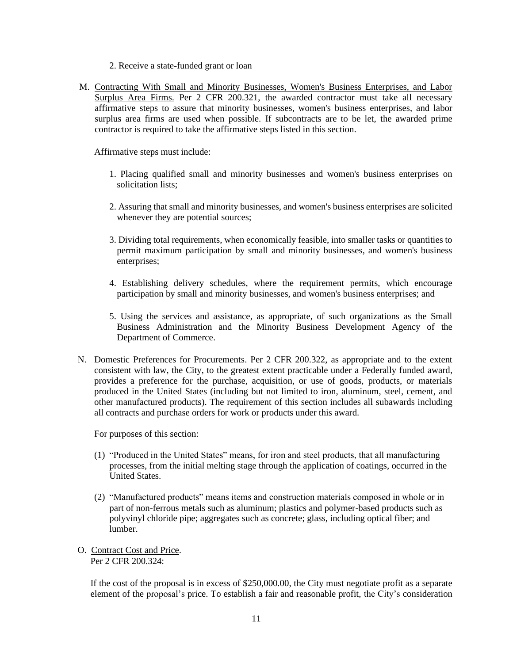- 2. Receive a state-funded grant or loan
- M. Contracting With Small and Minority Businesses, Women's Business Enterprises, and Labor Surplus Area Firms. Per 2 CFR 200.321, the awarded contractor must take all necessary affirmative steps to assure that minority businesses, women's business enterprises, and labor surplus area firms are used when possible. If subcontracts are to be let, the awarded prime contractor is required to take the affirmative steps listed in this section.

Affirmative steps must include:

- 1. Placing qualified small and minority businesses and women's business enterprises on solicitation lists;
- 2. Assuring that small and minority businesses, and women's business enterprises are solicited whenever they are potential sources;
- 3. Dividing total requirements, when economically feasible, into smaller tasks or quantities to permit maximum participation by small and minority businesses, and women's business enterprises;
- 4. Establishing delivery schedules, where the requirement permits, which encourage participation by small and minority businesses, and women's business enterprises; and
- 5. Using the services and assistance, as appropriate, of such organizations as the Small Business Administration and the Minority Business Development Agency of the Department of Commerce.
- N. Domestic Preferences for Procurements. Per 2 CFR 200.322, as appropriate and to the extent consistent with law, the City, to the greatest extent practicable under a Federally funded award, provides a preference for the purchase, acquisition, or use of goods, products, or materials produced in the United States (including but not limited to iron, aluminum, steel, cement, and other manufactured products). The requirement of this section includes all subawards including all contracts and purchase orders for work or products under this award.

For purposes of this section:

- (1) "Produced in the United States" means, for iron and steel products, that all manufacturing processes, from the initial melting stage through the application of coatings, occurred in the United States.
- (2) "Manufactured products" means items and construction materials composed in whole or in part of non-ferrous metals such as aluminum; plastics and polymer-based products such as polyvinyl chloride pipe; aggregates such as concrete; glass, including optical fiber; and lumber.
- O. Contract Cost and Price. Per 2 CFR 200.324:

If the cost of the proposal is in excess of \$250,000.00, the City must negotiate profit as a separate element of the proposal's price. To establish a fair and reasonable profit, the City's consideration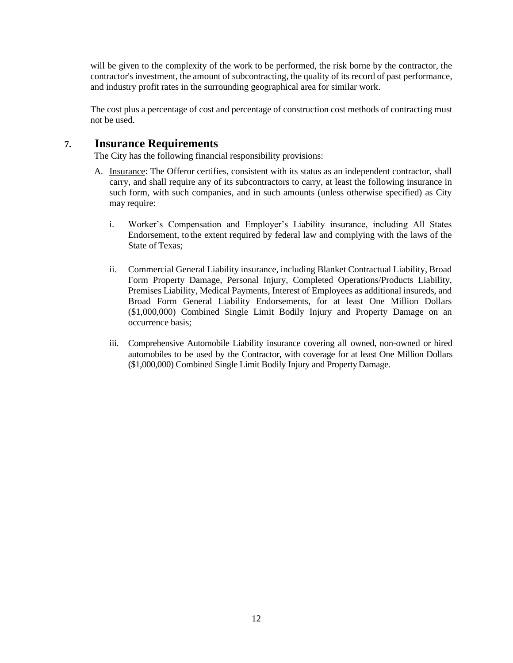will be given to the complexity of the work to be performed, the risk borne by the contractor, the contractor's investment, the amount of subcontracting, the quality of its record of past performance, and industry profit rates in the surrounding geographical area for similar work.

The cost plus a percentage of cost and percentage of construction cost methods of contracting must not be used.

## **7. Insurance Requirements**

The City has the following financial responsibility provisions:

- A. Insurance: The Offeror certifies, consistent with its status as an independent contractor, shall carry, and shall require any of its subcontractors to carry, at least the following insurance in such form, with such companies, and in such amounts (unless otherwise specified) as City may require:
	- i. Worker's Compensation and Employer's Liability insurance, including All States Endorsement, to the extent required by federal law and complying with the laws of the State of Texas;
	- ii. Commercial General Liability insurance, including Blanket Contractual Liability, Broad Form Property Damage, Personal Injury, Completed Operations/Products Liability, Premises Liability, Medical Payments, Interest of Employees as additional insureds, and Broad Form General Liability Endorsements, for at least One Million Dollars (\$1,000,000) Combined Single Limit Bodily Injury and Property Damage on an occurrence basis;
	- iii. Comprehensive Automobile Liability insurance covering all owned, non-owned or hired automobiles to be used by the Contractor, with coverage for at least One Million Dollars (\$1,000,000) Combined Single Limit Bodily Injury and PropertyDamage.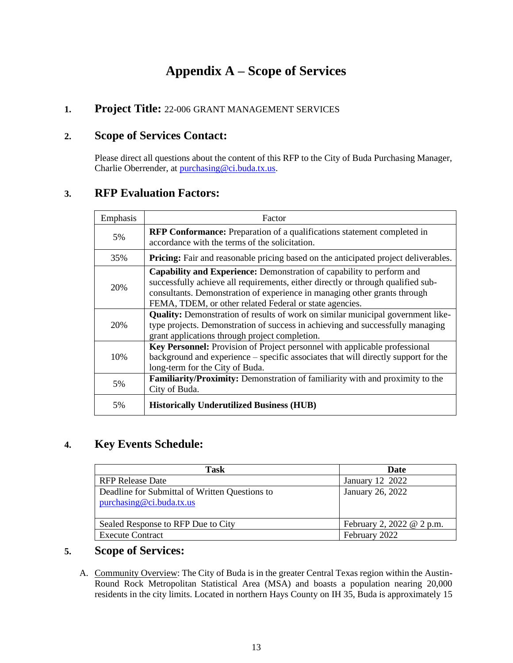# **Appendix A – Scope of Services**

## **1. Project Title:** 22-006 GRANT MANAGEMENT SERVICES

## **2. Scope of Services Contact:**

Please direct all questions about the content of this RFP to the City of Buda Purchasing Manager, Charlie Oberrender, at [purchasing@ci.buda.tx.us.](mailto:purchasing@ci.buda.tx.us)

## **3. RFP Evaluation Factors:**

| Emphasis | Factor                                                                                                                                                                                                                                                                                            |
|----------|---------------------------------------------------------------------------------------------------------------------------------------------------------------------------------------------------------------------------------------------------------------------------------------------------|
| 5%       | <b>RFP Conformance:</b> Preparation of a qualifications statement completed in<br>accordance with the terms of the solicitation.                                                                                                                                                                  |
| 35%      | <b>Pricing:</b> Fair and reasonable pricing based on the anticipated project deliverables.                                                                                                                                                                                                        |
| 20%      | Capability and Experience: Demonstration of capability to perform and<br>successfully achieve all requirements, either directly or through qualified sub-<br>consultants. Demonstration of experience in managing other grants through<br>FEMA, TDEM, or other related Federal or state agencies. |
| 20%      | <b>Quality:</b> Demonstration of results of work on similar municipal government like-<br>type projects. Demonstration of success in achieving and successfully managing<br>grant applications through project completion.                                                                        |
| 10%      | Key Personnel: Provision of Project personnel with applicable professional<br>background and experience – specific associates that will directly support for the<br>long-term for the City of Buda.                                                                                               |
| 5%       | Familiarity/Proximity: Demonstration of familiarity with and proximity to the<br>City of Buda.                                                                                                                                                                                                    |
| 5%       | <b>Historically Underutilized Business (HUB)</b>                                                                                                                                                                                                                                                  |

## **4. Key Events Schedule:**

| Task                                                                       | Date                      |
|----------------------------------------------------------------------------|---------------------------|
| <b>RFP Release Date</b>                                                    | January 12 2022           |
| Deadline for Submittal of Written Questions to<br>purchasing@ci.buda.tx.us | January 26, 2022          |
| Sealed Response to RFP Due to City                                         | February 2, 2022 @ 2 p.m. |
| <b>Execute Contract</b>                                                    | February 2022             |

## **5. Scope of Services:**

A. Community Overview: The City of Buda is in the greater Central Texas region within the Austin-Round Rock Metropolitan Statistical Area (MSA) and boasts a population nearing 20,000 residents in the city limits. Located in northern Hays County on IH 35, Buda is approximately 15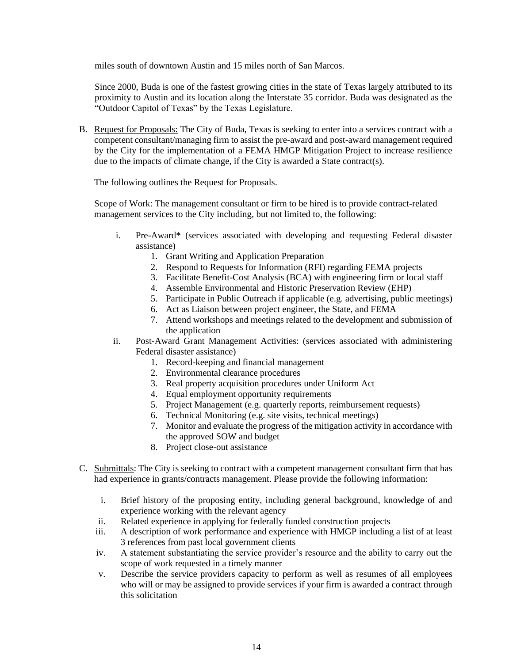miles south of downtown Austin and 15 miles north of San Marcos.

Since 2000, Buda is one of the fastest growing cities in the state of Texas largely attributed to its proximity to Austin and its location along the Interstate 35 corridor. Buda was designated as the "Outdoor Capitol of Texas" by the Texas Legislature.

B. Request for Proposals: The City of Buda, Texas is seeking to enter into a services contract with a competent consultant/managing firm to assist the pre-award and post-award management required by the City for the implementation of a FEMA HMGP Mitigation Project to increase resilience due to the impacts of climate change, if the City is awarded a State contract(s).

The following outlines the Request for Proposals.

Scope of Work: The management consultant or firm to be hired is to provide contract-related management services to the City including, but not limited to, the following:

- i. Pre-Award\* (services associated with developing and requesting Federal disaster assistance)
	- 1. Grant Writing and Application Preparation
	- 2. Respond to Requests for Information (RFI) regarding FEMA projects
	- 3. Facilitate Benefit-Cost Analysis (BCA) with engineering firm or local staff
	- 4. Assemble Environmental and Historic Preservation Review (EHP)
	- 5. Participate in Public Outreach if applicable (e.g. advertising, public meetings)
	- 6. Act as Liaison between project engineer, the State, and FEMA
	- 7. Attend workshops and meetings related to the development and submission of the application
- ii. Post-Award Grant Management Activities: (services associated with administering Federal disaster assistance)
	- 1. Record-keeping and financial management
	- 2. Environmental clearance procedures
	- 3. Real property acquisition procedures under Uniform Act
	- 4. Equal employment opportunity requirements
	- 5. Project Management (e.g. quarterly reports, reimbursement requests)
	- 6. Technical Monitoring (e.g. site visits, technical meetings)
	- 7. Monitor and evaluate the progress of the mitigation activity in accordance with the approved SOW and budget
	- 8. Project close-out assistance
- C. Submittals: The City is seeking to contract with a competent management consultant firm that has had experience in grants/contracts management. Please provide the following information:
	- i. Brief history of the proposing entity, including general background, knowledge of and experience working with the relevant agency
	- ii. Related experience in applying for federally funded construction projects
	- iii. A description of work performance and experience with HMGP including a list of at least 3 references from past local government clients
	- iv. A statement substantiating the service provider's resource and the ability to carry out the scope of work requested in a timely manner
	- v. Describe the service providers capacity to perform as well as resumes of all employees who will or may be assigned to provide services if your firm is awarded a contract through this solicitation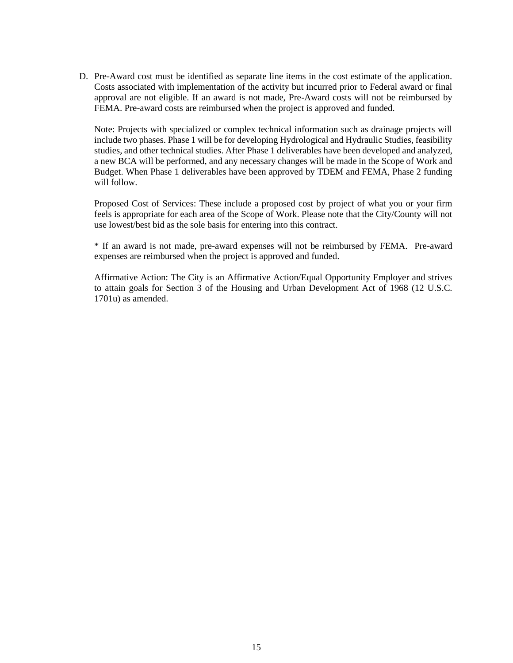D. Pre-Award cost must be identified as separate line items in the cost estimate of the application. Costs associated with implementation of the activity but incurred prior to Federal award or final approval are not eligible. If an award is not made, Pre-Award costs will not be reimbursed by FEMA. Pre-award costs are reimbursed when the project is approved and funded.

Note: Projects with specialized or complex technical information such as drainage projects will include two phases. Phase 1 will be for developing Hydrological and Hydraulic Studies, feasibility studies, and other technical studies. After Phase 1 deliverables have been developed and analyzed, a new BCA will be performed, and any necessary changes will be made in the Scope of Work and Budget. When Phase 1 deliverables have been approved by TDEM and FEMA, Phase 2 funding will follow.

Proposed Cost of Services: These include a proposed cost by project of what you or your firm feels is appropriate for each area of the Scope of Work. Please note that the City/County will not use lowest/best bid as the sole basis for entering into this contract.

\* If an award is not made, pre-award expenses will not be reimbursed by FEMA. Pre-award expenses are reimbursed when the project is approved and funded.

Affirmative Action: The City is an Affirmative Action/Equal Opportunity Employer and strives to attain goals for Section 3 of the Housing and Urban Development Act of 1968 (12 U.S.C. 1701u) as amended.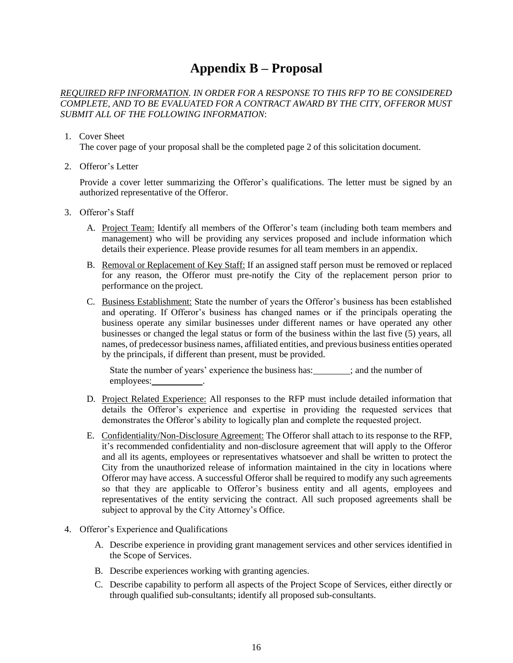## **Appendix B – Proposal**

#### *REQUIRED RFP INFORMATION. IN ORDER FOR A RESPONSE TO THIS RFP TO BE CONSIDERED COMPLETE, AND TO BE EVALUATED FOR A CONTRACT AWARD BY THE CITY, OFFEROR MUST SUBMIT ALL OF THE FOLLOWING INFORMATION*:

#### 1. Cover Sheet

The cover page of your proposal shall be the completed page 2 of this solicitation document.

2. Offeror's Letter

Provide a cover letter summarizing the Offeror's qualifications. The letter must be signed by an authorized representative of the Offeror.

- 3. Offeror's Staff
	- A. Project Team: Identify all members of the Offeror's team (including both team members and management) who will be providing any services proposed and include information which details their experience. Please provide resumes for all team members in an appendix.
	- B. Removal or Replacement of Key Staff: If an assigned staff person must be removed or replaced for any reason, the Offeror must pre-notify the City of the replacement person prior to performance on the project.
	- C. Business Establishment: State the number of years the Offeror's business has been established and operating. If Offeror's business has changed names or if the principals operating the business operate any similar businesses under different names or have operated any other businesses or changed the legal status or form of the business within the last five (5) years, all names, of predecessor business names, affiliated entities, and previous business entities operated by the principals, if different than present, must be provided.

State the number of years' experience the business has:  $\frac{1}{1}$  and the number of employees:

- D. Project Related Experience: All responses to the RFP must include detailed information that details the Offeror's experience and expertise in providing the requested services that demonstrates the Offeror's ability to logically plan and complete the requested project.
- E. Confidentiality/Non-Disclosure Agreement: The Offeror shall attach to its response to the RFP, it's recommended confidentiality and non-disclosure agreement that will apply to the Offeror and all its agents, employees or representatives whatsoever and shall be written to protect the City from the unauthorized release of information maintained in the city in locations where Offeror may have access. A successful Offeror shall be required to modify any such agreements so that they are applicable to Offeror's business entity and all agents, employees and representatives of the entity servicing the contract. All such proposed agreements shall be subject to approval by the City Attorney's Office.
- 4. Offeror's Experience and Qualifications
	- A. Describe experience in providing grant management services and other services identified in the Scope of Services.
	- B. Describe experiences working with granting agencies.
	- C. Describe capability to perform all aspects of the Project Scope of Services, either directly or through qualified sub-consultants; identify all proposed sub-consultants.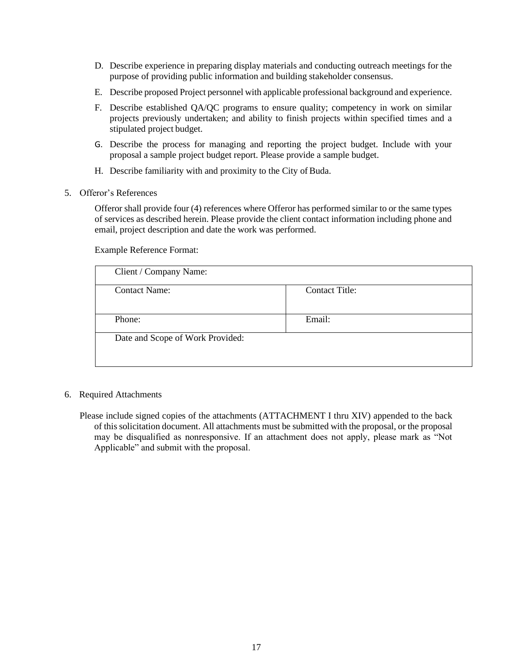- D. Describe experience in preparing display materials and conducting outreach meetings for the purpose of providing public information and building stakeholder consensus.
- E. Describe proposed Project personnel with applicable professional background and experience.
- F. Describe established QA/QC programs to ensure quality; competency in work on similar projects previously undertaken; and ability to finish projects within specified times and a stipulated project budget.
- G. Describe the process for managing and reporting the project budget. Include with your proposal a sample project budget report. Please provide a sample budget.
- H. Describe familiarity with and proximity to the City of Buda.
- 5. Offeror's References

Offeror shall provide four (4) references where Offeror has performed similar to or the same types of services as described herein. Please provide the client contact information including phone and email, project description and date the work was performed.

Example Reference Format:

| Client / Company Name:           |                |
|----------------------------------|----------------|
| <b>Contact Name:</b>             | Contact Title: |
|                                  |                |
| Phone:                           | Email:         |
| Date and Scope of Work Provided: |                |

- 6. Required Attachments
	- Please include signed copies of the attachments (ATTACHMENT I thru XIV) appended to the back of this solicitation document. All attachments must be submitted with the proposal, or the proposal may be disqualified as nonresponsive. If an attachment does not apply, please mark as "Not Applicable" and submit with the proposal.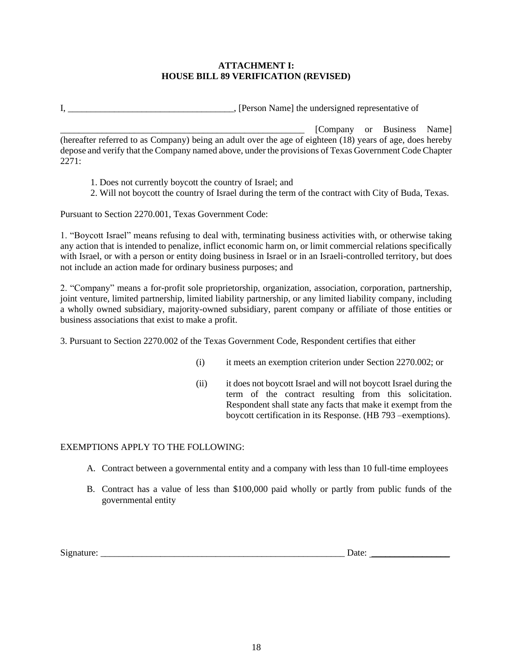#### **ATTACHMENT I: HOUSE BILL 89 VERIFICATION (REVISED)**

I, \_\_\_\_\_\_\_\_\_\_\_\_\_\_\_\_\_\_\_\_\_\_\_\_\_\_\_\_\_\_\_\_\_\_\_\_, [Person Name] the undersigned representative of

\_\_\_\_\_\_\_\_\_\_\_\_\_\_\_\_\_\_\_\_\_\_\_\_\_\_\_\_\_\_\_\_\_\_\_\_\_\_\_\_\_\_\_\_\_\_\_\_\_\_\_\_\_ [Company or Business Name] (hereafter referred to as Company) being an adult over the age of eighteen (18) years of age, does hereby depose and verify that the Company named above, under the provisions of Texas Government Code Chapter 2271:

- 1. Does not currently boycott the country of Israel; and
- 2. Will not boycott the country of Israel during the term of the contract with City of Buda, Texas.

Pursuant to Section 2270.001, Texas Government Code:

1. "Boycott Israel" means refusing to deal with, terminating business activities with, or otherwise taking any action that is intended to penalize, inflict economic harm on, or limit commercial relations specifically with Israel, or with a person or entity doing business in Israel or in an Israeli-controlled territory, but does not include an action made for ordinary business purposes; and

2. "Company" means a for-profit sole proprietorship, organization, association, corporation, partnership, joint venture, limited partnership, limited liability partnership, or any limited liability company, including a wholly owned subsidiary, majority-owned subsidiary, parent company or affiliate of those entities or business associations that exist to make a profit.

3. Pursuant to Section 2270.002 of the Texas Government Code, Respondent certifies that either

- (i) it meets an exemption criterion under Section 2270.002; or
- (ii) it does not boycott Israel and will not boycott Israel during the term of the contract resulting from this solicitation. Respondent shall state any facts that make it exempt from the boycott certification in its Response. (HB 793 –exemptions).

#### EXEMPTIONS APPLY TO THE FOLLOWING:

- A. Contract between a governmental entity and a company with less than 10 full-time employees
- B. Contract has a value of less than \$100,000 paid wholly or partly from public funds of the governmental entity

 $Signature:$   $\qquad \qquad$   $\qquad \qquad$   $\qquad \qquad$   $\qquad \qquad$   $\qquad \qquad$   $\qquad \qquad$   $\qquad \qquad$   $\qquad \qquad$   $\qquad \qquad$   $\qquad \qquad$   $\qquad \qquad$   $\qquad \qquad$   $\qquad \qquad$   $\qquad \qquad$   $\qquad \qquad$   $\qquad \qquad$   $\qquad \qquad$   $\qquad \qquad$   $\qquad \qquad$   $\qquad \qquad$   $\qquad \qquad$   $\qquad \qquad$   $\qquad \qquad$   $\qquad \qquad$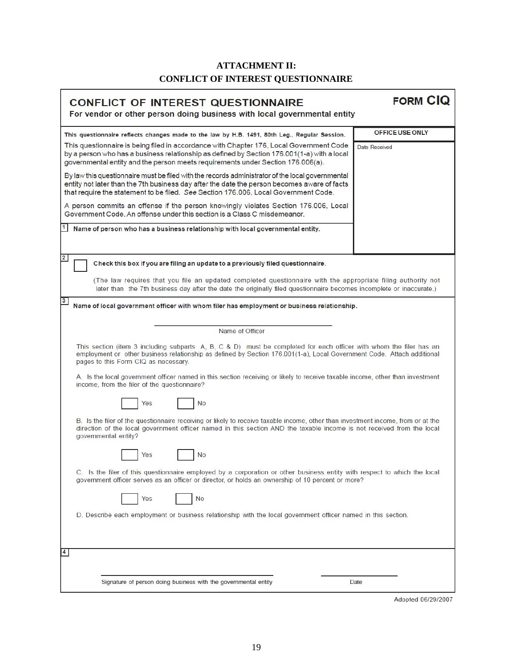## **ATTACHMENT II: CONFLICT OF INTEREST QUESTIONNAIRE**

r

| <b>CONFLICT OF INTEREST QUESTIONNAIRE</b>                                                                                                                                                                                                                                              | <b>FORM CIQ</b> |  |
|----------------------------------------------------------------------------------------------------------------------------------------------------------------------------------------------------------------------------------------------------------------------------------------|-----------------|--|
| For vendor or other person doing business with local governmental entity                                                                                                                                                                                                               |                 |  |
| This questionnaire reflects changes made to the law by H.B. 1491, 80th Leg., Regular Session.                                                                                                                                                                                          | OFFICE USE ONLY |  |
| This questionnaire is being filed in accordance with Chapter 176, Local Government Code<br>by a person who has a business relationship as defined by Section 176.001(1-a) with a local<br>governmental entity and the person meets requirements under Section 176.006(a).              | Date Received   |  |
| By law this questionnaire must be filed with the records administrator of the local governmental<br>entity not later than the 7th business day after the date the person becomes aware of facts<br>that require the statement to be filed. See Section 176.006, Local Government Code. |                 |  |
| A person commits an offense if the person knowingly violates Section 176.006, Local<br>Government Code, An offense under this section is a Class C misdemeanor.                                                                                                                        |                 |  |
| Name of person who has a business relationship with local governmental entity.                                                                                                                                                                                                         |                 |  |
| $\mathbf{2}$<br>Check this box if you are filing an update to a previously filed questionnaire.                                                                                                                                                                                        |                 |  |
| (The law requires that you file an updated completed questionnaire with the appropriate filing authority not<br>later than the 7th business day after the date the originally filed questionnaire becomes incomplete or inaccurate.)                                                   |                 |  |
| 3<br>Name of local government officer with whom filer has employment or business relationship.                                                                                                                                                                                         |                 |  |
| Name of Officer                                                                                                                                                                                                                                                                        |                 |  |
| This section (item 3 including subparts A, B, C & D) must be completed for each officer with whom the filer has an<br>employment or other business relationship as defined by Section 176.001(1-a), Local Government Code. Attach additional<br>pages to this Form CIQ as necessary.   |                 |  |
| A. Is the local government officer named in this section receiving or likely to receive taxable income, other than investment<br>income, from the filer of the questionnaire?                                                                                                          |                 |  |
| No<br>Yes                                                                                                                                                                                                                                                                              |                 |  |
| B. Is the filer of the questionnaire receiving or likely to receive taxable income, other than investment income, from or at the<br>direction of the local government officer named in this section AND the taxable income is not received from the local<br>governmental entity?      |                 |  |
| <b>No</b><br>Yes                                                                                                                                                                                                                                                                       |                 |  |
| C. Is the filer of this questionnaire employed by a corporation or other business entity with respect to which the local<br>government officer serves as an officer or director, or holds an ownership of 10 percent or more?                                                          |                 |  |
| Yes<br>No                                                                                                                                                                                                                                                                              |                 |  |
| D. Describe each employment or business relationship with the local government officer named in this section.                                                                                                                                                                          |                 |  |
|                                                                                                                                                                                                                                                                                        |                 |  |
| Signature of person doing business with the governmental entity                                                                                                                                                                                                                        | Date            |  |
|                                                                                                                                                                                                                                                                                        |                 |  |

Adopted 06/29/2007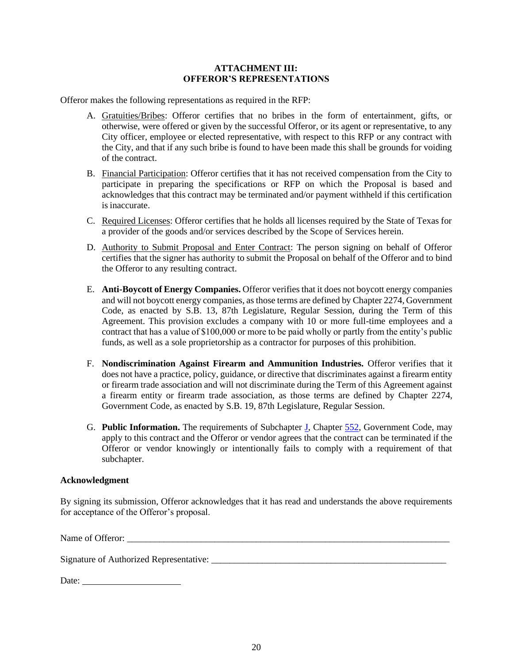#### **ATTACHMENT III: OFFEROR'S REPRESENTATIONS**

Offeror makes the following representations as required in the RFP:

- A. Gratuities/Bribes: Offeror certifies that no bribes in the form of entertainment, gifts, or otherwise, were offered or given by the successful Offeror, or its agent or representative, to any City officer, employee or elected representative, with respect to this RFP or any contract with the City, and that if any such bribe is found to have been made this shall be grounds for voiding of the contract.
- B. Financial Participation: Offeror certifies that it has not received compensation from the City to participate in preparing the specifications or RFP on which the Proposal is based and acknowledges that this contract may be terminated and/or payment withheld if this certification is inaccurate.
- C. Required Licenses: Offeror certifies that he holds all licenses required by the State of Texas for a provider of the goods and/or services described by the Scope of Services herein.
- D. Authority to Submit Proposal and Enter Contract: The person signing on behalf of Offeror certifies that the signer has authority to submit the Proposal on behalf of the Offeror and to bind the Offeror to any resulting contract.
- E. **Anti-Boycott of Energy Companies.** Offeror verifies that it does not boycott energy companies and will not boycott energy companies, as those terms are defined by Chapter 2274, Government Code, as enacted by S.B. 13, 87th Legislature, Regular Session, during the Term of this Agreement. This provision excludes a company with 10 or more full-time employees and a contract that has a value of \$100,000 or more to be paid wholly or partly from the entity's public funds, as well as a sole proprietorship as a contractor for purposes of this prohibition.
- F. **Nondiscrimination Against Firearm and Ammunition Industries***.* Offeror verifies that it does not have a practice, policy, guidance, or directive that discriminates against a firearm entity or firearm trade association and will not discriminate during the Term of this Agreement against a firearm entity or firearm trade association, as those terms are defined by Chapter 2274, Government Code, as enacted by S.B. 19, 87th Legislature, Regular Session.
- G. **Public Information.** The requirements of Subchapter [J,](http://www.statutes.legis.state.tx.us/GetStatute.aspx?Code=GV&Value=552.371) Chapter [552,](http://www.statutes.legis.state.tx.us/GetStatute.aspx?Code=GV&Value=552) Government Code, may apply to this contract and the Offeror or vendor agrees that the contract can be terminated if the Offeror or vendor knowingly or intentionally fails to comply with a requirement of that subchapter.

#### **Acknowledgment**

By signing its submission, Offeror acknowledges that it has read and understands the above requirements for acceptance of the Offeror's proposal.

Name of Offeror: \_\_\_\_\_\_\_\_\_\_\_\_\_\_\_\_\_\_\_\_\_\_\_\_\_\_\_\_\_\_\_\_\_\_\_\_\_\_\_\_\_\_\_\_\_\_\_\_\_\_\_\_\_\_\_\_\_\_\_\_\_\_\_\_\_\_\_\_\_\_

Signature of Authorized Representative: \_\_\_\_\_\_\_\_\_\_\_\_\_\_\_\_\_\_\_\_\_\_\_\_\_\_\_\_\_\_\_\_\_\_\_\_\_\_\_\_\_\_\_\_\_\_\_\_\_\_\_

| Date: |  |
|-------|--|
|       |  |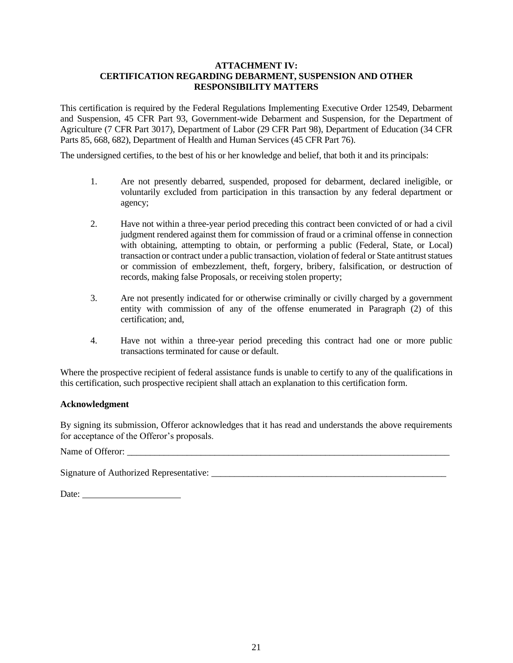#### **ATTACHMENT IV: CERTIFICATION REGARDING DEBARMENT, SUSPENSION AND OTHER RESPONSIBILITY MATTERS**

This certification is required by the Federal Regulations Implementing Executive Order 12549, Debarment and Suspension, 45 CFR Part 93, Government-wide Debarment and Suspension, for the Department of Agriculture (7 CFR Part 3017), Department of Labor (29 CFR Part 98), Department of Education (34 CFR Parts 85, 668, 682), Department of Health and Human Services (45 CFR Part 76).

The undersigned certifies, to the best of his or her knowledge and belief, that both it and its principals:

- 1. Are not presently debarred, suspended, proposed for debarment, declared ineligible, or voluntarily excluded from participation in this transaction by any federal department or agency;
- 2. Have not within a three-year period preceding this contract been convicted of or had a civil judgment rendered against them for commission of fraud or a criminal offense in connection with obtaining, attempting to obtain, or performing a public (Federal, State, or Local) transaction or contract under a public transaction, violation of federal or State antitrust statues or commission of embezzlement, theft, forgery, bribery, falsification, or destruction of records, making false Proposals, or receiving stolen property;
- 3. Are not presently indicated for or otherwise criminally or civilly charged by a government entity with commission of any of the offense enumerated in Paragraph (2) of this certification; and,
- 4. Have not within a three-year period preceding this contract had one or more public transactions terminated for cause or default.

Where the prospective recipient of federal assistance funds is unable to certify to any of the qualifications in this certification, such prospective recipient shall attach an explanation to this certification form.

#### **Acknowledgment**

By signing its submission, Offeror acknowledges that it has read and understands the above requirements for acceptance of the Offeror's proposals.

Name of Offeror:

Signature of Authorized Representative: \_\_\_\_\_\_\_\_\_\_\_\_\_\_\_\_\_\_\_\_\_\_\_\_\_\_\_\_\_\_\_\_\_\_\_\_\_\_\_\_\_\_\_\_\_\_\_\_\_\_\_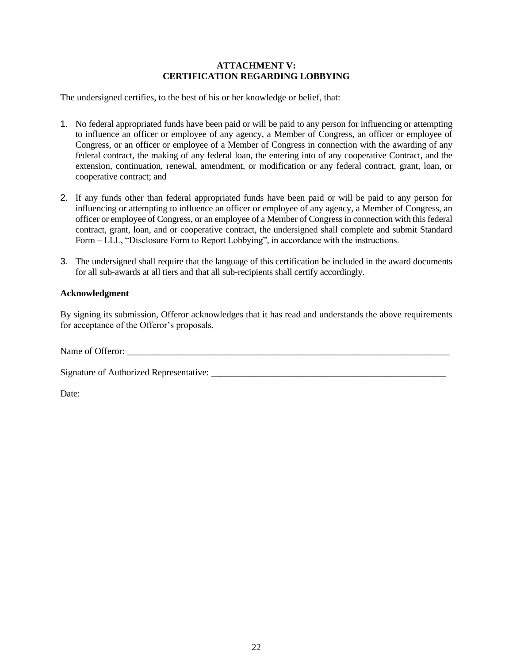#### **ATTACHMENT V: CERTIFICATION REGARDING LOBBYING**

The undersigned certifies, to the best of his or her knowledge or belief, that:

- 1. No federal appropriated funds have been paid or will be paid to any person for influencing or attempting to influence an officer or employee of any agency, a Member of Congress, an officer or employee of Congress, or an officer or employee of a Member of Congress in connection with the awarding of any federal contract, the making of any federal loan, the entering into of any cooperative Contract, and the extension, continuation, renewal, amendment, or modification or any federal contract, grant, loan, or cooperative contract; and
- 2. If any funds other than federal appropriated funds have been paid or will be paid to any person for influencing or attempting to influence an officer or employee of any agency, a Member of Congress, an officer or employee of Congress, or an employee of a Member of Congress in connection with this federal contract, grant, loan, and or cooperative contract, the undersigned shall complete and submit Standard Form – LLL, "Disclosure Form to Report Lobbying", in accordance with the instructions.
- 3. The undersigned shall require that the language of this certification be included in the award documents for all sub-awards at all tiers and that all sub-recipients shall certify accordingly.

#### **Acknowledgment**

By signing its submission, Offeror acknowledges that it has read and understands the above requirements for acceptance of the Offeror's proposals.

Name of Offeror:

Signature of Authorized Representative: \_\_\_\_\_\_\_\_\_\_\_\_\_\_\_\_\_\_\_\_\_\_\_\_\_\_\_\_\_\_\_\_\_\_\_\_\_\_\_\_\_\_\_\_\_\_\_\_\_\_\_

Date: **Date:**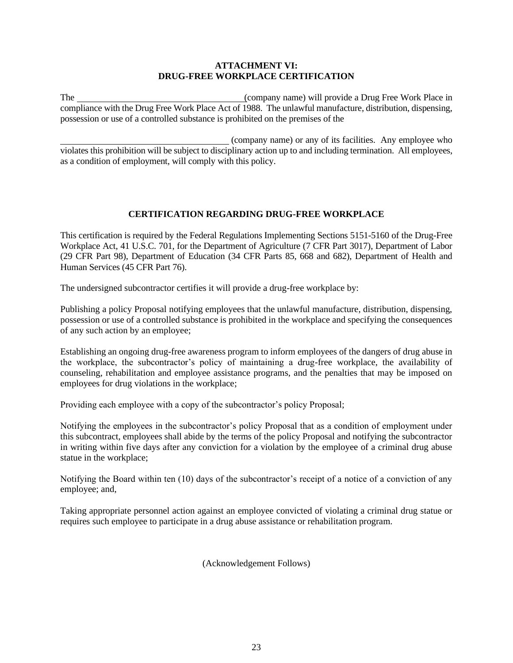#### **ATTACHMENT VI: DRUG-FREE WORKPLACE CERTIFICATION**

The (company name) will provide a Drug Free Work Place in compliance with the Drug Free Work Place Act of 1988. The unlawful manufacture, distribution, dispensing, possession or use of a controlled substance is prohibited on the premises of the

 (company name) or any of its facilities. Any employee who violates this prohibition will be subject to disciplinary action up to and including termination. All employees, as a condition of employment, will comply with this policy.

## **CERTIFICATION REGARDING DRUG-FREE WORKPLACE**

This certification is required by the Federal Regulations Implementing Sections 5151-5160 of the Drug-Free Workplace Act, 41 U.S.C. 701, for the Department of Agriculture (7 CFR Part 3017), Department of Labor (29 CFR Part 98), Department of Education (34 CFR Parts 85, 668 and 682), Department of Health and Human Services (45 CFR Part 76).

The undersigned subcontractor certifies it will provide a drug-free workplace by:

Publishing a policy Proposal notifying employees that the unlawful manufacture, distribution, dispensing, possession or use of a controlled substance is prohibited in the workplace and specifying the consequences of any such action by an employee;

Establishing an ongoing drug-free awareness program to inform employees of the dangers of drug abuse in the workplace, the subcontractor's policy of maintaining a drug-free workplace, the availability of counseling, rehabilitation and employee assistance programs, and the penalties that may be imposed on employees for drug violations in the workplace;

Providing each employee with a copy of the subcontractor's policy Proposal;

Notifying the employees in the subcontractor's policy Proposal that as a condition of employment under this subcontract, employees shall abide by the terms of the policy Proposal and notifying the subcontractor in writing within five days after any conviction for a violation by the employee of a criminal drug abuse statue in the workplace;

Notifying the Board within ten (10) days of the subcontractor's receipt of a notice of a conviction of any employee; and,

Taking appropriate personnel action against an employee convicted of violating a criminal drug statue or requires such employee to participate in a drug abuse assistance or rehabilitation program.

(Acknowledgement Follows)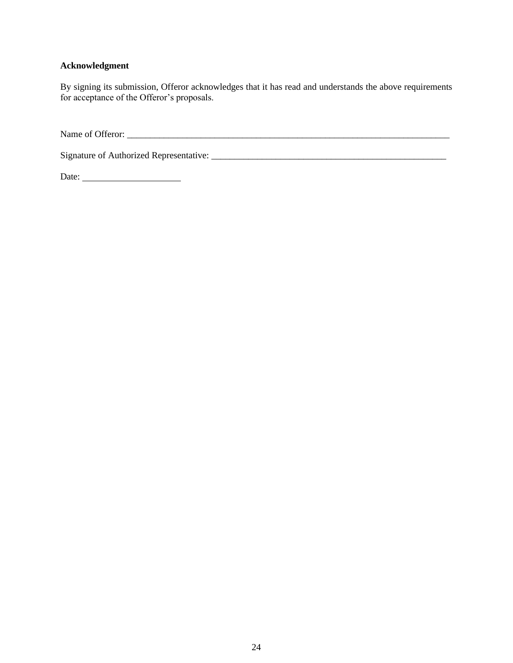## **Acknowledgment**

By signing its submission, Offeror acknowledges that it has read and understands the above requirements for acceptance of the Offeror's proposals.

Name of Offeror: \_\_\_\_\_\_\_\_\_\_\_\_\_\_\_\_\_\_\_\_\_\_\_\_\_\_\_\_\_\_\_\_\_\_\_\_\_\_\_\_\_\_\_\_\_\_\_\_\_\_\_\_\_\_\_\_\_\_\_\_\_\_\_\_\_\_\_\_\_\_

Signature of Authorized Representative: \_\_\_\_\_\_\_\_\_\_\_\_\_\_\_\_\_\_\_\_\_\_\_\_\_\_\_\_\_\_\_\_\_\_\_\_\_\_\_\_\_\_\_\_\_\_\_\_\_\_\_

Date: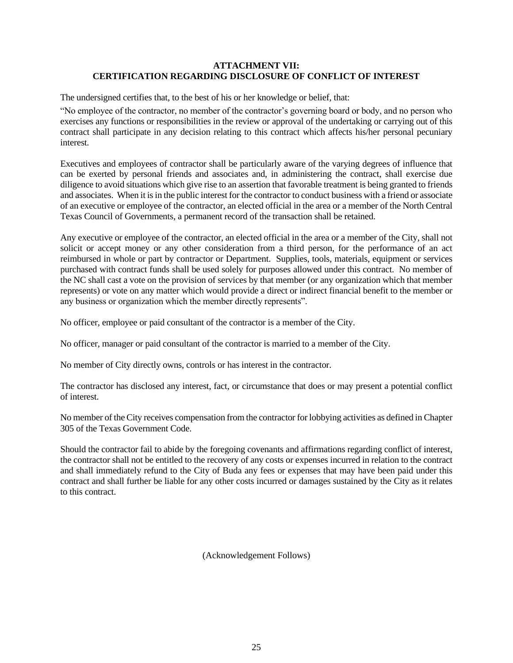#### **ATTACHMENT VII: CERTIFICATION REGARDING DISCLOSURE OF CONFLICT OF INTEREST**

The undersigned certifies that, to the best of his or her knowledge or belief, that:

"No employee of the contractor, no member of the contractor's governing board or body, and no person who exercises any functions or responsibilities in the review or approval of the undertaking or carrying out of this contract shall participate in any decision relating to this contract which affects his/her personal pecuniary interest.

Executives and employees of contractor shall be particularly aware of the varying degrees of influence that can be exerted by personal friends and associates and, in administering the contract, shall exercise due diligence to avoid situations which give rise to an assertion that favorable treatment is being granted to friends and associates. When it is in the public interest for the contractor to conduct business with a friend or associate of an executive or employee of the contractor, an elected official in the area or a member of the North Central Texas Council of Governments, a permanent record of the transaction shall be retained.

Any executive or employee of the contractor, an elected official in the area or a member of the City, shall not solicit or accept money or any other consideration from a third person, for the performance of an act reimbursed in whole or part by contractor or Department. Supplies, tools, materials, equipment or services purchased with contract funds shall be used solely for purposes allowed under this contract. No member of the NC shall cast a vote on the provision of services by that member (or any organization which that member represents) or vote on any matter which would provide a direct or indirect financial benefit to the member or any business or organization which the member directly represents".

No officer, employee or paid consultant of the contractor is a member of the City.

No officer, manager or paid consultant of the contractor is married to a member of the City.

No member of City directly owns, controls or has interest in the contractor.

The contractor has disclosed any interest, fact, or circumstance that does or may present a potential conflict of interest.

No member of the City receives compensation from the contractor for lobbying activities as defined in Chapter 305 of the Texas Government Code.

Should the contractor fail to abide by the foregoing covenants and affirmations regarding conflict of interest, the contractor shall not be entitled to the recovery of any costs or expenses incurred in relation to the contract and shall immediately refund to the City of Buda any fees or expenses that may have been paid under this contract and shall further be liable for any other costs incurred or damages sustained by the City as it relates to this contract.

(Acknowledgement Follows)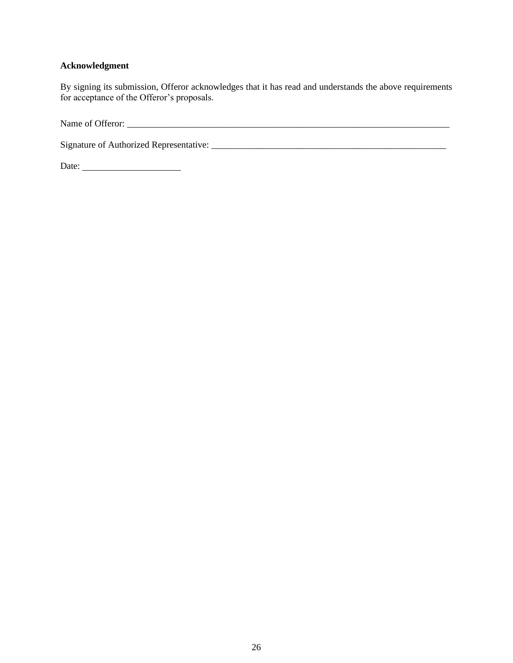## **Acknowledgment**

By signing its submission, Offeror acknowledges that it has read and understands the above requirements for acceptance of the Offeror's proposals.

Name of Offeror: \_\_\_\_\_\_\_\_\_\_\_\_\_\_\_\_\_\_\_\_\_\_\_\_\_\_\_\_\_\_\_\_\_\_\_\_\_\_\_\_\_\_\_\_\_\_\_\_\_\_\_\_\_\_\_\_\_\_\_\_\_\_\_\_\_\_\_\_\_\_

Signature of Authorized Representative: \_\_\_\_\_\_\_\_\_\_\_\_\_\_\_\_\_\_\_\_\_\_\_\_\_\_\_\_\_\_\_\_\_\_\_\_\_\_\_\_\_\_\_\_\_\_\_\_\_\_\_

Date: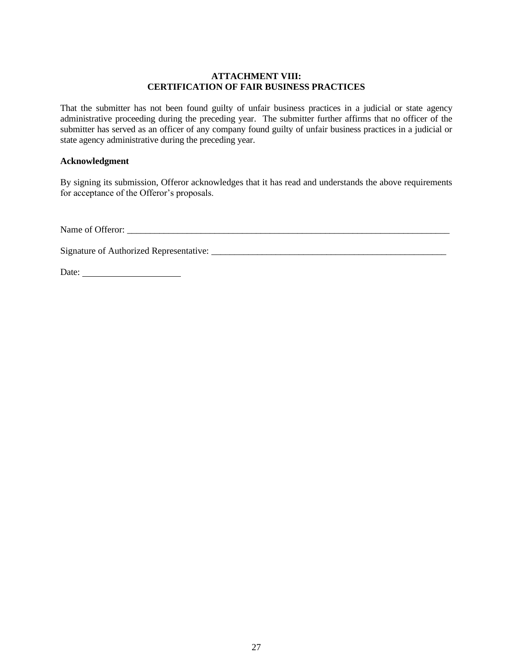#### **ATTACHMENT VIII: CERTIFICATION OF FAIR BUSINESS PRACTICES**

That the submitter has not been found guilty of unfair business practices in a judicial or state agency administrative proceeding during the preceding year. The submitter further affirms that no officer of the submitter has served as an officer of any company found guilty of unfair business practices in a judicial or state agency administrative during the preceding year.

#### **Acknowledgment**

By signing its submission, Offeror acknowledges that it has read and understands the above requirements for acceptance of the Offeror's proposals.

Name of Offeror: \_\_\_\_\_\_\_\_\_\_\_\_\_\_\_\_\_\_\_\_\_\_\_\_\_\_\_\_\_\_\_\_\_\_\_\_\_\_\_\_\_\_\_\_\_\_\_\_\_\_\_\_\_\_\_\_\_\_\_\_\_\_\_\_\_\_\_\_\_\_

Signature of Authorized Representative: \_\_\_\_\_\_\_\_\_\_\_\_\_\_\_\_\_\_\_\_\_\_\_\_\_\_\_\_\_\_\_\_\_\_\_\_\_\_\_\_\_\_\_\_\_\_\_\_\_\_\_

Date: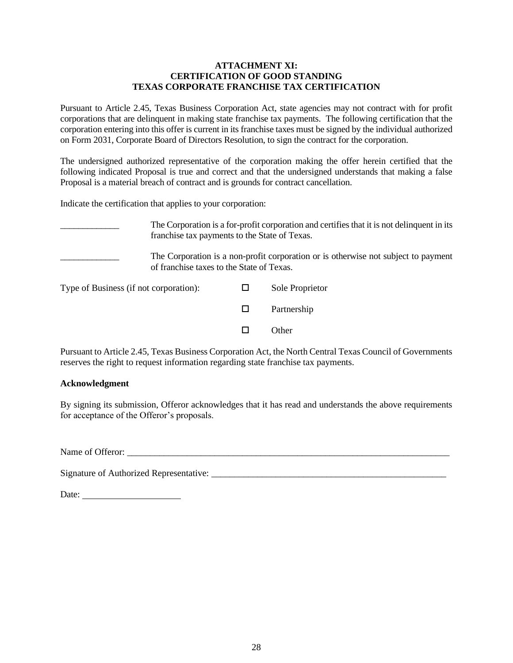#### **ATTACHMENT XI: CERTIFICATION OF GOOD STANDING TEXAS CORPORATE FRANCHISE TAX CERTIFICATION**

Pursuant to Article 2.45, Texas Business Corporation Act, state agencies may not contract with for profit corporations that are delinquent in making state franchise tax payments. The following certification that the corporation entering into this offer is current in its franchise taxes must be signed by the individual authorized on Form 2031, Corporate Board of Directors Resolution, to sign the contract for the corporation.

The undersigned authorized representative of the corporation making the offer herein certified that the following indicated Proposal is true and correct and that the undersigned understands that making a false Proposal is a material breach of contract and is grounds for contract cancellation.

Indicate the certification that applies to your corporation:

The Corporation is a for-profit corporation and certifies that it is not delinquent in its franchise tax payments to the State of Texas. The Corporation is a non-profit corporation or is otherwise not subject to payment of franchise taxes to the State of Texas. Type of Business (if not corporation):  $\Box$  Sole Proprietor □ Partnership  $\Box$  Other

Pursuant to Article 2.45, Texas Business Corporation Act, the North Central Texas Council of Governments reserves the right to request information regarding state franchise tax payments.

#### **Acknowledgment**

By signing its submission, Offeror acknowledges that it has read and understands the above requirements for acceptance of the Offeror's proposals.

Name of Offeror:

Signature of Authorized Representative: \_\_\_\_\_\_\_\_\_\_\_\_\_\_\_\_\_\_\_\_\_\_\_\_\_\_\_\_\_\_\_\_\_\_\_\_\_\_\_\_\_\_\_\_\_\_\_\_\_\_\_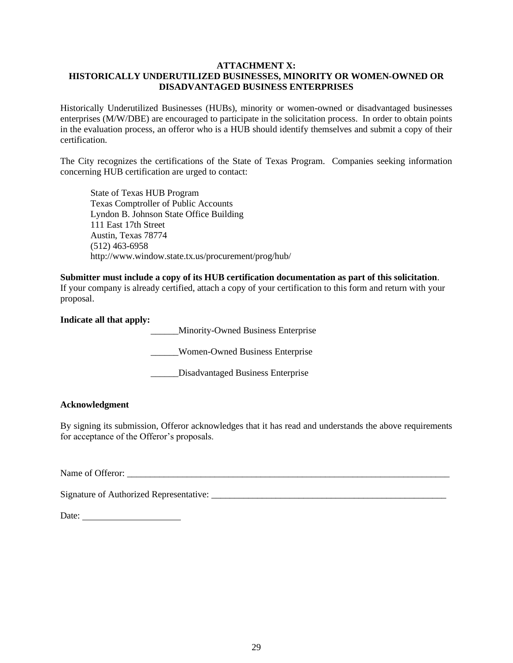#### **ATTACHMENT X: HISTORICALLY UNDERUTILIZED BUSINESSES, MINORITY OR WOMEN-OWNED OR DISADVANTAGED BUSINESS ENTERPRISES**

Historically Underutilized Businesses (HUBs), minority or women-owned or disadvantaged businesses enterprises (M/W/DBE) are encouraged to participate in the solicitation process. In order to obtain points in the evaluation process, an offeror who is a HUB should identify themselves and submit a copy of their certification.

The City recognizes the certifications of the State of Texas Program. Companies seeking information concerning HUB certification are urged to contact:

State of Texas HUB Program Texas Comptroller of Public Accounts Lyndon B. Johnson State Office Building 111 East 17th Street Austin, Texas 78774 (512) 463-6958 http://www.window.state.tx.us/procurement/prog/hub/

#### **Submitter must include a copy of its HUB certification documentation as part of this solicitation**.

If your company is already certified, attach a copy of your certification to this form and return with your proposal.

#### **Indicate all that apply:**

\_\_\_\_\_\_Minority-Owned Business Enterprise

\_\_\_\_\_\_Women-Owned Business Enterprise

\_\_\_\_\_\_Disadvantaged Business Enterprise

#### **Acknowledgment**

By signing its submission, Offeror acknowledges that it has read and understands the above requirements for acceptance of the Offeror's proposals.

Name of Offeror:

Signature of Authorized Representative: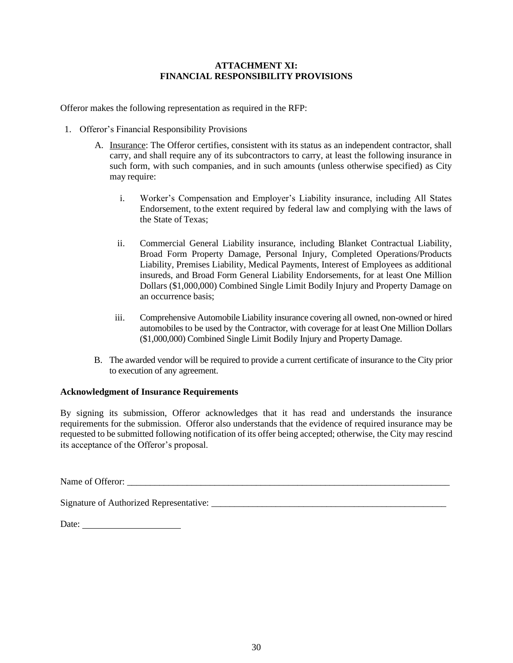#### **ATTACHMENT XI: FINANCIAL RESPONSIBILITY PROVISIONS**

Offeror makes the following representation as required in the RFP:

- 1. Offeror's Financial Responsibility Provisions
	- A. Insurance: The Offeror certifies, consistent with its status as an independent contractor, shall carry, and shall require any of its subcontractors to carry, at least the following insurance in such form, with such companies, and in such amounts (unless otherwise specified) as City may require:
		- i. Worker's Compensation and Employer's Liability insurance, including All States Endorsement, to the extent required by federal law and complying with the laws of the State of Texas;
		- ii. Commercial General Liability insurance, including Blanket Contractual Liability, Broad Form Property Damage, Personal Injury, Completed Operations/Products Liability, Premises Liability, Medical Payments, Interest of Employees as additional insureds, and Broad Form General Liability Endorsements, for at least One Million Dollars (\$1,000,000) Combined Single Limit Bodily Injury and Property Damage on an occurrence basis;
		- iii. Comprehensive Automobile Liability insurance covering all owned, non-owned or hired automobiles to be used by the Contractor, with coverage for at least One Million Dollars (\$1,000,000) Combined Single Limit Bodily Injury and PropertyDamage.
	- B. The awarded vendor will be required to provide a current certificate of insurance to the City prior to execution of any agreement.

#### **Acknowledgment of Insurance Requirements**

By signing its submission, Offeror acknowledges that it has read and understands the insurance requirements for the submission. Offeror also understands that the evidence of required insurance may be requested to be submitted following notification of its offer being accepted; otherwise, the City may rescind its acceptance of the Offeror's proposal.

Name of Offeror: \_\_\_\_\_\_\_\_\_\_\_\_\_\_\_\_\_\_\_\_\_\_\_\_\_\_\_\_\_\_\_\_\_\_\_\_\_\_\_\_\_\_\_\_\_\_\_\_\_\_\_\_\_\_\_\_\_\_\_\_\_\_\_\_\_\_\_\_\_\_

Signature of Authorized Representative: \_\_\_\_\_\_\_\_\_\_\_\_\_\_\_\_\_\_\_\_\_\_\_\_\_\_\_\_\_\_\_\_\_\_\_\_\_\_\_\_\_\_\_\_\_\_\_\_\_\_\_

Date: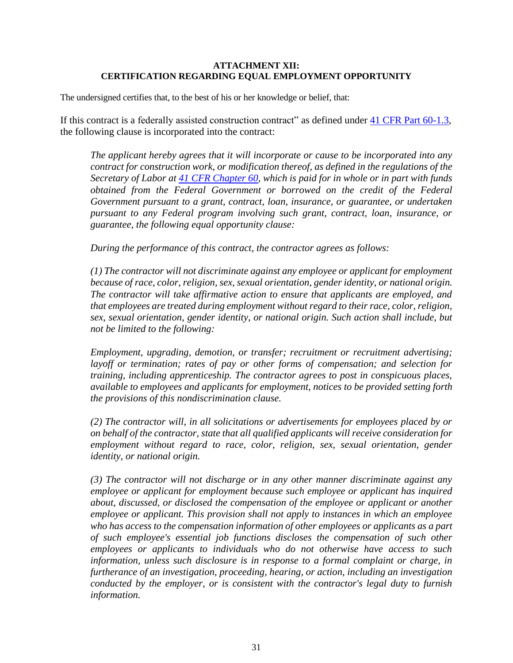#### **ATTACHMENT XII: CERTIFICATION REGARDING EQUAL EMPLOYMENT OPPORTUNITY**

The undersigned certifies that, to the best of his or her knowledge or belief, that:

If this contract is a federally assisted construction contract" as defined under [41 CFR Part 60-1.3,](https://www.ecfr.gov/current/title-41/section-60-1.3) the following clause is incorporated into the contract:

*The applicant hereby agrees that it will incorporate or cause to be incorporated into any contract for construction work, or modification thereof, as defined in the regulations of the Secretary of Labor at [41 CFR Chapter 60,](https://www.ecfr.gov/current/title-41/chapter-60) which is paid for in whole or in part with funds obtained from the Federal Government or borrowed on the credit of the Federal Government pursuant to a grant, contract, loan, insurance, or guarantee, or undertaken pursuant to any Federal program involving such grant, contract, loan, insurance, or guarantee, the following equal opportunity clause:* 

*During the performance of this contract, the contractor agrees as follows:* 

*(1) The contractor will not discriminate against any employee or applicant for employment because of race, color, religion, sex, sexual orientation, gender identity, or national origin. The contractor will take affirmative action to ensure that applicants are employed, and that employees are treated during employment without regard to their race, color, religion, sex, sexual orientation, gender identity, or national origin. Such action shall include, but not be limited to the following:* 

*Employment, upgrading, demotion, or transfer; recruitment or recruitment advertising; layoff or termination; rates of pay or other forms of compensation; and selection for training, including apprenticeship. The contractor agrees to post in conspicuous places, available to employees and applicants for employment, notices to be provided setting forth the provisions of this nondiscrimination clause.* 

*(2) The contractor will, in all solicitations or advertisements for employees placed by or on behalf of the contractor, state that all qualified applicants will receive consideration for*  employment without regard to race, color, religion, sex, sexual orientation, gender *identity, or national origin.* 

*(3) The contractor will not discharge or in any other manner discriminate against any employee or applicant for employment because such employee or applicant has inquired about, discussed, or disclosed the compensation of the employee or applicant or another employee or applicant. This provision shall not apply to instances in which an employee who has access to the compensation information of other employees or applicants as a part of such employee's essential job functions discloses the compensation of such other employees or applicants to individuals who do not otherwise have access to such information, unless such disclosure is in response to a formal complaint or charge, in furtherance of an investigation, proceeding, hearing, or action, including an investigation conducted by the employer, or is consistent with the contractor's legal duty to furnish information.*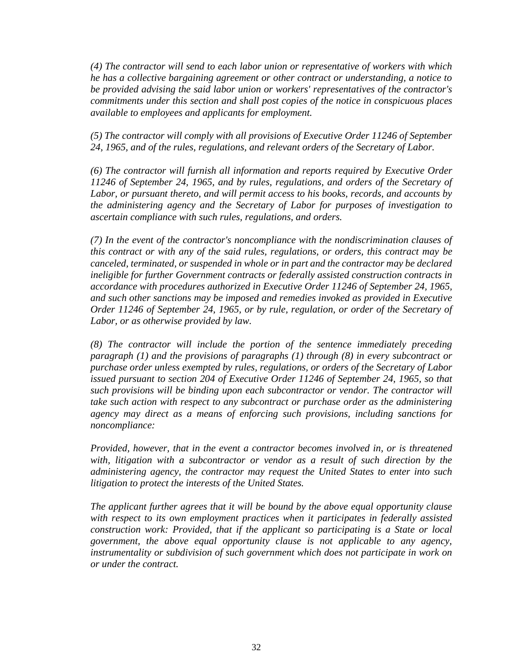*(4) The contractor will send to each labor union or representative of workers with which he has a collective bargaining agreement or other contract or understanding, a notice to be provided advising the said labor union or workers' representatives of the contractor's commitments under this section and shall post copies of the notice in conspicuous places available to employees and applicants for employment.* 

*(5) The contractor will comply with all provisions of Executive Order 11246 of September 24, 1965, and of the rules, regulations, and relevant orders of the Secretary of Labor.* 

*(6) The contractor will furnish all information and reports required by Executive Order 11246 of September 24, 1965, and by rules, regulations, and orders of the Secretary of Labor, or pursuant thereto, and will permit access to his books, records, and accounts by the administering agency and the Secretary of Labor for purposes of investigation to ascertain compliance with such rules, regulations, and orders.* 

*(7) In the event of the contractor's noncompliance with the nondiscrimination clauses of this contract or with any of the said rules, regulations, or orders, this contract may be canceled, terminated, or suspended in whole or in part and the contractor may be declared ineligible for further Government contracts or federally assisted construction contracts in accordance with procedures authorized in Executive Order 11246 of September 24, 1965, and such other sanctions may be imposed and remedies invoked as provided in Executive Order 11246 of September 24, 1965, or by rule, regulation, or order of the Secretary of Labor, or as otherwise provided by law.* 

*(8) The contractor will include the portion of the sentence immediately preceding paragraph (1) and the provisions of paragraphs (1) through (8) in every subcontract or purchase order unless exempted by rules, regulations, or orders of the Secretary of Labor issued pursuant to section 204 of Executive Order 11246 of September 24, 1965, so that such provisions will be binding upon each subcontractor or vendor. The contractor will take such action with respect to any subcontract or purchase order as the administering agency may direct as a means of enforcing such provisions, including sanctions for noncompliance:* 

*Provided, however, that in the event a contractor becomes involved in, or is threatened with, litigation with a subcontractor or vendor as a result of such direction by the administering agency, the contractor may request the United States to enter into such litigation to protect the interests of the United States.* 

*The applicant further agrees that it will be bound by the above equal opportunity clause with respect to its own employment practices when it participates in federally assisted construction work: Provided, that if the applicant so participating is a State or local government, the above equal opportunity clause is not applicable to any agency, instrumentality or subdivision of such government which does not participate in work on or under the contract.*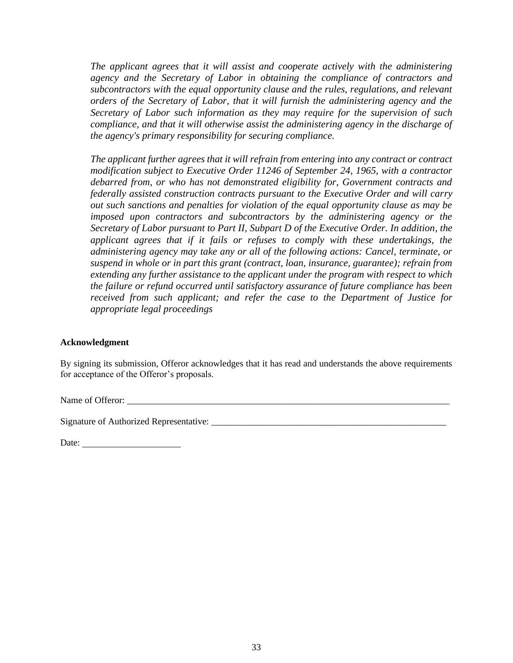*The applicant agrees that it will assist and cooperate actively with the administering agency and the Secretary of Labor in obtaining the compliance of contractors and subcontractors with the equal opportunity clause and the rules, regulations, and relevant orders of the Secretary of Labor, that it will furnish the administering agency and the Secretary of Labor such information as they may require for the supervision of such compliance, and that it will otherwise assist the administering agency in the discharge of the agency's primary responsibility for securing compliance.* 

*The applicant further agrees that it will refrain from entering into any contract or contract modification subject to Executive Order 11246 of September 24, 1965, with a contractor debarred from, or who has not demonstrated eligibility for, Government contracts and federally assisted construction contracts pursuant to the Executive Order and will carry out such sanctions and penalties for violation of the equal opportunity clause as may be imposed upon contractors and subcontractors by the administering agency or the Secretary of Labor pursuant to Part II, Subpart D of the Executive Order. In addition, the applicant agrees that if it fails or refuses to comply with these undertakings, the administering agency may take any or all of the following actions: Cancel, terminate, or suspend in whole or in part this grant (contract, loan, insurance, guarantee); refrain from extending any further assistance to the applicant under the program with respect to which the failure or refund occurred until satisfactory assurance of future compliance has been received from such applicant; and refer the case to the Department of Justice for appropriate legal proceedings*

#### **Acknowledgment**

By signing its submission, Offeror acknowledges that it has read and understands the above requirements for acceptance of the Offeror's proposals.

Name of Offeror: \_\_\_\_\_\_\_\_\_\_\_\_\_\_\_\_\_\_\_\_\_\_\_\_\_\_\_\_\_\_\_\_\_\_\_\_\_\_\_\_\_\_\_\_\_\_\_\_\_\_\_\_\_\_\_\_\_\_\_\_\_\_\_\_\_\_\_\_\_\_

Signature of Authorized Representative:

| Date: |
|-------|
|-------|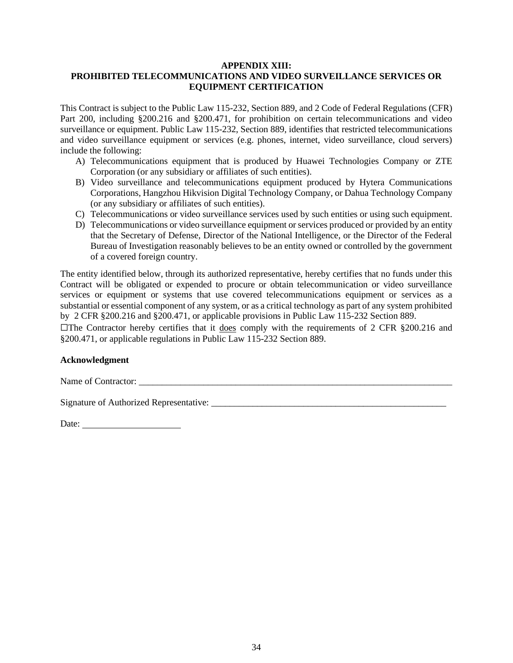#### **APPENDIX XIII:**

#### **PROHIBITED TELECOMMUNICATIONS AND VIDEO SURVEILLANCE SERVICES OR EQUIPMENT CERTIFICATION**

This Contract is subject to the Public Law 115-232, Section 889, and 2 Code of Federal Regulations (CFR) Part 200, including §200.216 and §200.471, for prohibition on certain telecommunications and video surveillance or equipment. Public Law 115-232, Section 889, identifies that restricted telecommunications and video surveillance equipment or services (e.g. phones, internet, video surveillance, cloud servers) include the following:

- A) Telecommunications equipment that is produced by Huawei Technologies Company or ZTE Corporation (or any subsidiary or affiliates of such entities).
- B) Video surveillance and telecommunications equipment produced by Hytera Communications Corporations, Hangzhou Hikvision Digital Technology Company, or Dahua Technology Company (or any subsidiary or affiliates of such entities).
- C) Telecommunications or video surveillance services used by such entities or using such equipment.
- D) Telecommunications or video surveillance equipment or services produced or provided by an entity that the Secretary of Defense, Director of the National Intelligence, or the Director of the Federal Bureau of Investigation reasonably believes to be an entity owned or controlled by the government of a covered foreign country.

The entity identified below, through its authorized representative, hereby certifies that no funds under this Contract will be obligated or expended to procure or obtain telecommunication or video surveillance services or equipment or systems that use covered telecommunications equipment or services as a substantial or essential component of any system, or as a critical technology as part of any system prohibited by 2 CFR §200.216 and §200.471, or applicable provisions in Public Law 115-232 Section 889.

 $\Box$ The Contractor hereby certifies that it does comply with the requirements of 2 CFR §200.216 and §200.471, or applicable regulations in Public Law 115-232 Section 889.

#### **Acknowledgment**

Name of Contractor: \_\_\_\_\_\_\_\_\_\_\_\_\_\_\_\_\_\_\_\_\_\_\_\_\_\_\_\_\_\_\_\_\_\_\_\_\_\_\_\_\_\_\_\_\_\_\_\_\_\_\_\_\_\_\_\_\_\_\_\_\_\_\_\_\_\_\_\_

Signature of Authorized Representative:

Date: and the state of the state of the state of the state of the state of the state of the state of the state of the state of the state of the state of the state of the state of the state of the state of the state of the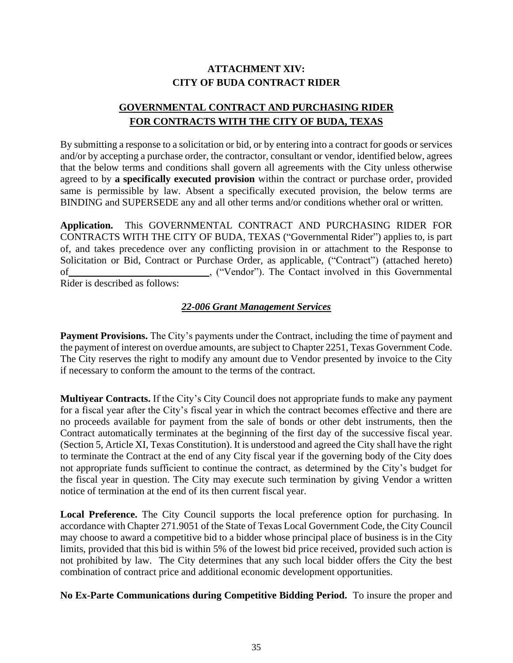## **ATTACHMENT XIV: CITY OF BUDA CONTRACT RIDER**

## **GOVERNMENTAL CONTRACT AND PURCHASING RIDER FOR CONTRACTS WITH THE CITY OF BUDA, TEXAS**

By submitting a response to a solicitation or bid, or by entering into a contract for goods or services and/or by accepting a purchase order, the contractor, consultant or vendor, identified below, agrees that the below terms and conditions shall govern all agreements with the City unless otherwise agreed to by **a specifically executed provision** within the contract or purchase order, provided same is permissible by law. Absent a specifically executed provision, the below terms are BINDING and SUPERSEDE any and all other terms and/or conditions whether oral or written.

**Application.** This GOVERNMENTAL CONTRACT AND PURCHASING RIDER FOR CONTRACTS WITH THE CITY OF BUDA, TEXAS ("Governmental Rider") applies to, is part of, and takes precedence over any conflicting provision in or attachment to the Response to Solicitation or Bid, Contract or Purchase Order, as applicable, ("Contract") (attached hereto) of\_\_\_\_\_\_\_\_\_\_\_\_\_\_\_\_\_\_\_\_\_\_\_\_\_\_\_\_, ("Vendor"). The Contact involved in this Governmental Rider is described as follows:

## *22-006 Grant Management Services*

**Payment Provisions.** The City's payments under the Contract, including the time of payment and the payment of interest on overdue amounts, are subject to Chapter 2251, Texas Government Code. The City reserves the right to modify any amount due to Vendor presented by invoice to the City if necessary to conform the amount to the terms of the contract.

**Multiyear Contracts.** If the City's City Council does not appropriate funds to make any payment for a fiscal year after the City's fiscal year in which the contract becomes effective and there are no proceeds available for payment from the sale of bonds or other debt instruments, then the Contract automatically terminates at the beginning of the first day of the successive fiscal year. (Section 5, Article XI, Texas Constitution). It is understood and agreed the City shall have the right to terminate the Contract at the end of any City fiscal year if the governing body of the City does not appropriate funds sufficient to continue the contract, as determined by the City's budget for the fiscal year in question. The City may execute such termination by giving Vendor a written notice of termination at the end of its then current fiscal year.

**Local Preference.** The City Council supports the local preference option for purchasing. In accordance with Chapter 271.9051 of the State of Texas Local Government Code, the City Council may choose to award a competitive bid to a bidder whose principal place of business is in the City limits, provided that this bid is within 5% of the lowest bid price received, provided such action is not prohibited by law. The City determines that any such local bidder offers the City the best combination of contract price and additional economic development opportunities.

**No Ex-Parte Communications during Competitive Bidding Period.** To insure the proper and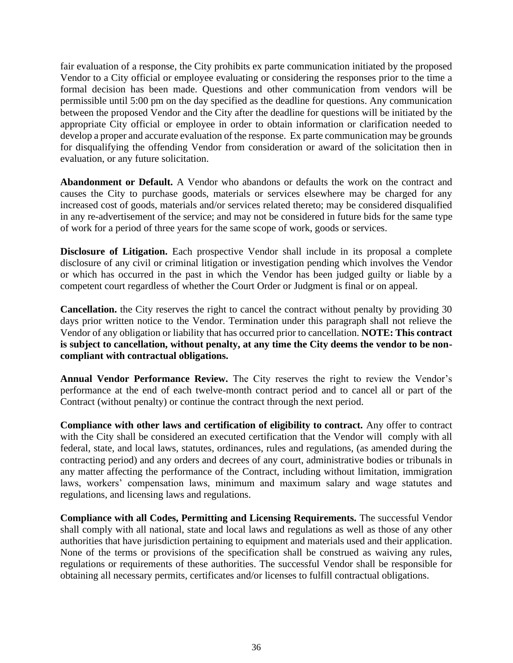fair evaluation of a response, the City prohibits ex parte communication initiated by the proposed Vendor to a City official or employee evaluating or considering the responses prior to the time a formal decision has been made. Questions and other communication from vendors will be permissible until 5:00 pm on the day specified as the deadline for questions. Any communication between the proposed Vendor and the City after the deadline for questions will be initiated by the appropriate City official or employee in order to obtain information or clarification needed to develop a proper and accurate evaluation of the response. Ex parte communication may be grounds for disqualifying the offending Vendor from consideration or award of the solicitation then in evaluation, or any future solicitation.

**Abandonment or Default.** A Vendor who abandons or defaults the work on the contract and causes the City to purchase goods, materials or services elsewhere may be charged for any increased cost of goods, materials and/or services related thereto; may be considered disqualified in any re-advertisement of the service; and may not be considered in future bids for the same type of work for a period of three years for the same scope of work, goods or services.

**Disclosure of Litigation.** Each prospective Vendor shall include in its proposal a complete disclosure of any civil or criminal litigation or investigation pending which involves the Vendor or which has occurred in the past in which the Vendor has been judged guilty or liable by a competent court regardless of whether the Court Order or Judgment is final or on appeal.

**Cancellation.** the City reserves the right to cancel the contract without penalty by providing 30 days prior written notice to the Vendor. Termination under this paragraph shall not relieve the Vendor of any obligation or liability that has occurred prior to cancellation. **NOTE: This contract is subject to cancellation, without penalty, at any time the City deems the vendor to be noncompliant with contractual obligations.**

**Annual Vendor Performance Review.** The City reserves the right to review the Vendor's performance at the end of each twelve-month contract period and to cancel all or part of the Contract (without penalty) or continue the contract through the next period.

**Compliance with other laws and certification of eligibility to contract.** Any offer to contract with the City shall be considered an executed certification that the Vendor will comply with all federal, state, and local laws, statutes, ordinances, rules and regulations, (as amended during the contracting period) and any orders and decrees of any court, administrative bodies or tribunals in any matter affecting the performance of the Contract, including without limitation, immigration laws, workers' compensation laws, minimum and maximum salary and wage statutes and regulations, and licensing laws and regulations.

**Compliance with all Codes, Permitting and Licensing Requirements.** The successful Vendor shall comply with all national, state and local laws and regulations as well as those of any other authorities that have jurisdiction pertaining to equipment and materials used and their application. None of the terms or provisions of the specification shall be construed as waiving any rules, regulations or requirements of these authorities. The successful Vendor shall be responsible for obtaining all necessary permits, certificates and/or licenses to fulfill contractual obligations.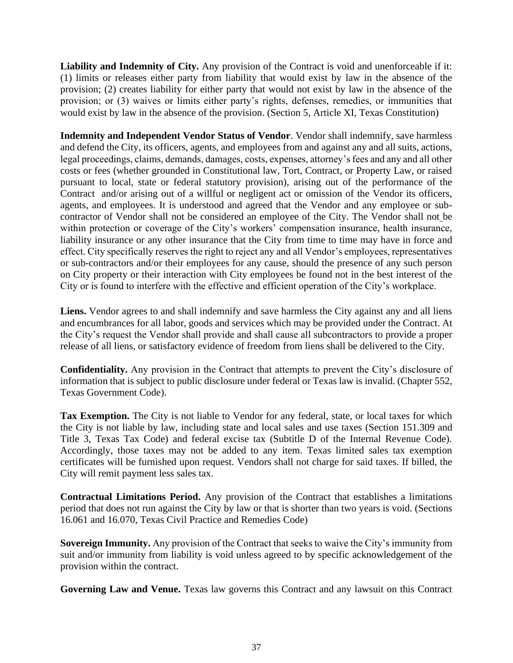**Liability and Indemnity of City.** Any provision of the Contract is void and unenforceable if it: (1) limits or releases either party from liability that would exist by law in the absence of the provision; (2) creates liability for either party that would not exist by law in the absence of the provision; or (3) waives or limits either party's rights, defenses, remedies, or immunities that would exist by law in the absence of the provision. (Section 5, Article XI, Texas Constitution)

**Indemnity and Independent Vendor Status of Vendor**. Vendor shall indemnify, save harmless and defend the City, its officers, agents, and employees from and against any and all suits, actions, legal proceedings, claims, demands, damages, costs, expenses, attorney's fees and any and all other costs or fees (whether grounded in Constitutional law, Tort, Contract, or Property Law, or raised pursuant to local, state or federal statutory provision), arising out of the performance of the Contract and/or arising out of a willful or negligent act or omission of the Vendor its officers, agents, and employees. It is understood and agreed that the Vendor and any employee or subcontractor of Vendor shall not be considered an employee of the City. The Vendor shall not be within protection or coverage of the City's workers' compensation insurance, health insurance, liability insurance or any other insurance that the City from time to time may have in force and effect. City specifically reserves the right to reject any and all Vendor's employees, representatives or sub-contractors and/or their employees for any cause, should the presence of any such person on City property or their interaction with City employees be found not in the best interest of the City or is found to interfere with the effective and efficient operation of the City's workplace.

**Liens.** Vendor agrees to and shall indemnify and save harmless the City against any and all liens and encumbrances for all labor, goods and services which may be provided under the Contract. At the City's request the Vendor shall provide and shall cause all subcontractors to provide a proper release of all liens, or satisfactory evidence of freedom from liens shall be delivered to the City.

**Confidentiality.** Any provision in the Contract that attempts to prevent the City's disclosure of information that is subject to public disclosure under federal or Texas law is invalid. (Chapter 552, Texas Government Code).

**Tax Exemption.** The City is not liable to Vendor for any federal, state, or local taxes for which the City is not liable by law, including state and local sales and use taxes (Section 151.309 and Title 3, Texas Tax Code) and federal excise tax (Subtitle D of the Internal Revenue Code). Accordingly, those taxes may not be added to any item. Texas limited sales tax exemption certificates will be furnished upon request. Vendors shall not charge for said taxes. If billed, the City will remit payment less sales tax.

**Contractual Limitations Period.** Any provision of the Contract that establishes a limitations period that does not run against the City by law or that is shorter than two years is void. (Sections 16.061 and 16.070, Texas Civil Practice and Remedies Code)

**Sovereign Immunity.** Any provision of the Contract that seeks to waive the City's immunity from suit and/or immunity from liability is void unless agreed to by specific acknowledgement of the provision within the contract.

Governing Law and Venue. Texas law governs this Contract and any lawsuit on this Contract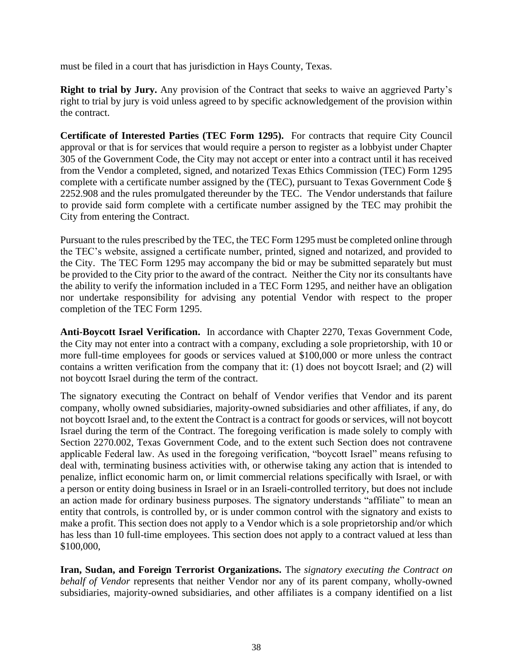must be filed in a court that has jurisdiction in Hays County, Texas.

**Right to trial by Jury.** Any provision of the Contract that seeks to waive an aggrieved Party's right to trial by jury is void unless agreed to by specific acknowledgement of the provision within the contract.

**Certificate of Interested Parties (TEC Form 1295).** For contracts that require City Council approval or that is for services that would require a person to register as a lobbyist under Chapter 305 of the Government Code, the City may not accept or enter into a contract until it has received from the Vendor a completed, signed, and notarized Texas Ethics Commission (TEC) Form 1295 complete with a certificate number assigned by the (TEC), pursuant to Texas Government Code § 2252.908 and the rules promulgated thereunder by the TEC. The Vendor understands that failure to provide said form complete with a certificate number assigned by the TEC may prohibit the City from entering the Contract.

Pursuant to the rules prescribed by the TEC, the TEC Form 1295 must be completed online through the TEC's website, assigned a certificate number, printed, signed and notarized, and provided to the City. The TEC Form 1295 may accompany the bid or may be submitted separately but must be provided to the City prior to the award of the contract. Neither the City nor its consultants have the ability to verify the information included in a TEC Form 1295, and neither have an obligation nor undertake responsibility for advising any potential Vendor with respect to the proper completion of the TEC Form 1295.

**Anti-Boycott Israel Verification.** In accordance with Chapter 2270, Texas Government Code, the City may not enter into a contract with a company, excluding a sole proprietorship, with 10 or more full-time employees for goods or services valued at \$100,000 or more unless the contract contains a written verification from the company that it: (1) does not boycott Israel; and (2) will not boycott Israel during the term of the contract.

The signatory executing the Contract on behalf of Vendor verifies that Vendor and its parent company, wholly owned subsidiaries, majority-owned subsidiaries and other affiliates, if any, do not boycott Israel and, to the extent the Contract is a contract for goods or services, will not boycott Israel during the term of the Contract. The foregoing verification is made solely to comply with Section 2270.002, Texas Government Code, and to the extent such Section does not contravene applicable Federal law. As used in the foregoing verification, "boycott Israel" means refusing to deal with, terminating business activities with, or otherwise taking any action that is intended to penalize, inflict economic harm on, or limit commercial relations specifically with Israel, or with a person or entity doing business in Israel or in an Israeli-controlled territory, but does not include an action made for ordinary business purposes. The signatory understands "affiliate" to mean an entity that controls, is controlled by, or is under common control with the signatory and exists to make a profit. This section does not apply to a Vendor which is a sole proprietorship and/or which has less than 10 full-time employees. This section does not apply to a contract valued at less than \$100,000,

**Iran, Sudan, and Foreign Terrorist Organizations.** The *signatory executing the Contract on behalf of Vendor* represents that neither Vendor nor any of its parent company, wholly-owned subsidiaries, majority-owned subsidiaries, and other affiliates is a company identified on a list